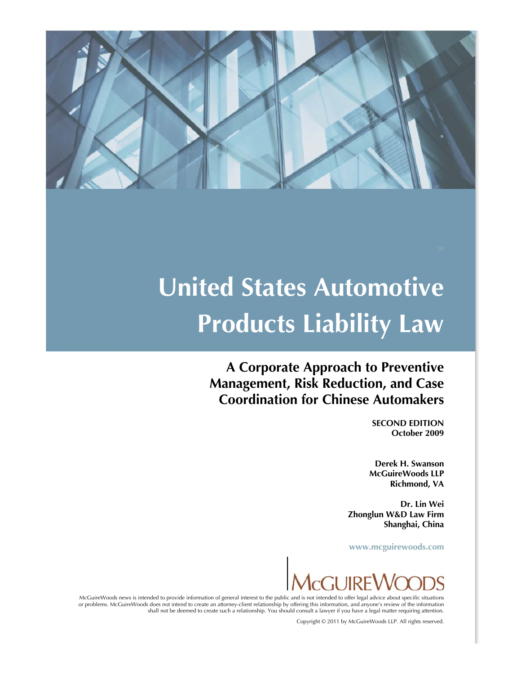

# **United States Automotive Products Liability Law**

**A Corporate Approach to Preventive Management, Risk Reduction, and Case Coordination for Chinese Automakers** 

> **SECOND EDITION October 2009**

**Derek H. Swanson McGuireWoods LLP Richmond, VA** 

**Dr. Lin Wei Zhonglun W&D Law Firm Shanghai, China** 

**www.mcguirewoods.com** 



McGuireWoods news is intended to provide information of general interest to the public and is not intended to offer legal advice about specific situations or problems. McGuireWoods does not intend to create an attorney-client relationship by offering this information, and anyone's review of the information shall not be deemed to create such a relationship. You should consult a lawyer if you have a legal matter requiring attention.

Copyright © 2011 by McGuireWoods LLP. All rights reserved.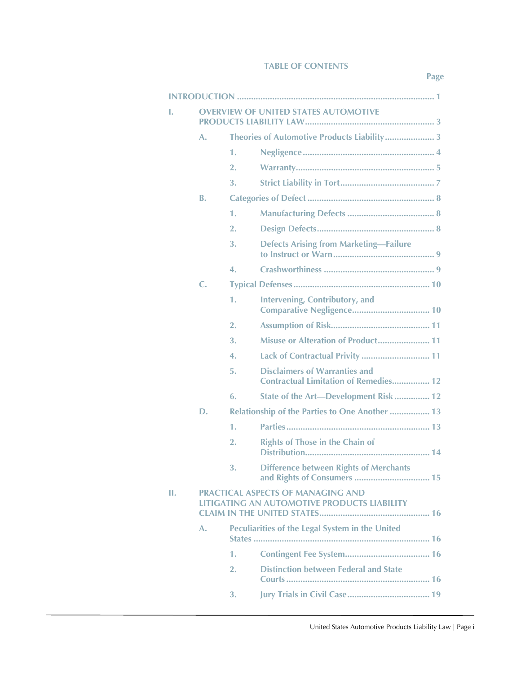#### **TABLE OF CONTENTS**

**Page** 

| ı. | <b>OVERVIEW OF UNITED STATES AUTOMOTIVE</b>                                             |                                                       |                                                                                      |  |  |
|----|-----------------------------------------------------------------------------------------|-------------------------------------------------------|--------------------------------------------------------------------------------------|--|--|
|    | A.                                                                                      | Theories of Automotive Products Liability 3           |                                                                                      |  |  |
|    |                                                                                         | 1.                                                    |                                                                                      |  |  |
|    |                                                                                         | 2.                                                    |                                                                                      |  |  |
|    |                                                                                         | 3.                                                    |                                                                                      |  |  |
|    | B.                                                                                      |                                                       |                                                                                      |  |  |
|    |                                                                                         | 1.                                                    |                                                                                      |  |  |
|    |                                                                                         | 2.                                                    |                                                                                      |  |  |
|    |                                                                                         | 3.                                                    | <b>Defects Arising from Marketing-Failure</b>                                        |  |  |
|    |                                                                                         | 4.                                                    |                                                                                      |  |  |
|    | C.                                                                                      |                                                       |                                                                                      |  |  |
|    |                                                                                         | 1.                                                    | <b>Intervening, Contributory, and</b>                                                |  |  |
|    |                                                                                         | 2.                                                    |                                                                                      |  |  |
|    |                                                                                         | 3.                                                    | Misuse or Alteration of Product 11                                                   |  |  |
|    |                                                                                         | 4.                                                    | Lack of Contractual Privity  11                                                      |  |  |
|    |                                                                                         | 5.                                                    | <b>Disclaimers of Warranties and</b><br><b>Contractual Limitation of Remedies 12</b> |  |  |
|    |                                                                                         | 6.                                                    | State of the Art-Development Risk 12                                                 |  |  |
|    | D.                                                                                      | <b>Relationship of the Parties to One Another  13</b> |                                                                                      |  |  |
|    |                                                                                         | 1.                                                    |                                                                                      |  |  |
|    |                                                                                         | 2.                                                    | <b>Rights of Those in the Chain of</b>                                               |  |  |
|    |                                                                                         | 3.                                                    | <b>Difference between Rights of Merchants</b><br>and Rights of Consumers  15         |  |  |
| Π. | <b>PRACTICAL ASPECTS OF MANAGING AND</b><br>LITIGATING AN AUTOMOTIVE PRODUCTS LIABILITY |                                                       |                                                                                      |  |  |
|    | А.                                                                                      | Peculiarities of the Legal System in the United       |                                                                                      |  |  |
|    |                                                                                         | 1.                                                    |                                                                                      |  |  |
|    |                                                                                         | 2.                                                    | <b>Distinction between Federal and State</b>                                         |  |  |
|    |                                                                                         | 3.                                                    |                                                                                      |  |  |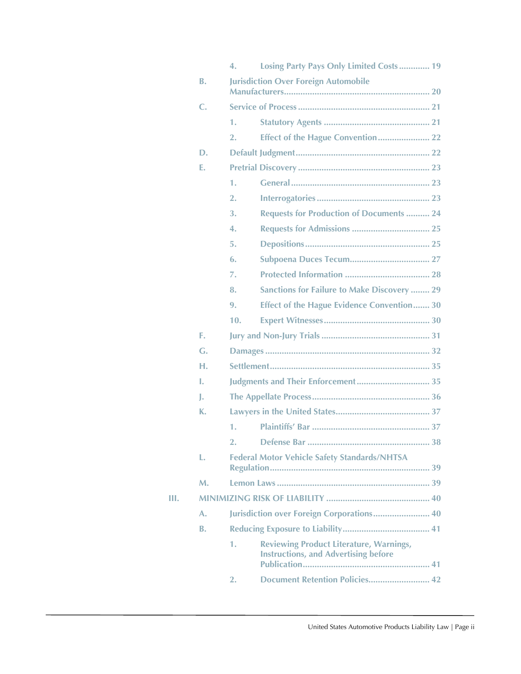|    |           | 4.                                                  | Losing Party Pays Only Limited Costs 19                                                       |  |  |  |
|----|-----------|-----------------------------------------------------|-----------------------------------------------------------------------------------------------|--|--|--|
|    | <b>B.</b> |                                                     | <b>Jurisdiction Over Foreign Automobile</b>                                                   |  |  |  |
|    | C.        |                                                     |                                                                                               |  |  |  |
|    |           | 1.                                                  |                                                                                               |  |  |  |
|    |           | 2.                                                  | <b>Effect of the Hague Convention 22</b>                                                      |  |  |  |
|    | D.        |                                                     |                                                                                               |  |  |  |
|    | Е.        |                                                     |                                                                                               |  |  |  |
|    |           | 1.                                                  |                                                                                               |  |  |  |
|    |           | 2.                                                  |                                                                                               |  |  |  |
|    |           | 3.                                                  | <b>Requests for Production of Documents  24</b>                                               |  |  |  |
|    |           | 4.                                                  | <b>Requests for Admissions  25</b>                                                            |  |  |  |
|    |           | 5.                                                  |                                                                                               |  |  |  |
|    |           | 6.                                                  | <b>Subpoena Duces Tecum 27</b>                                                                |  |  |  |
|    |           | 7.                                                  |                                                                                               |  |  |  |
|    |           | 8.                                                  | <b>Sanctions for Failure to Make Discovery  29</b>                                            |  |  |  |
|    |           | 9.                                                  | <b>Effect of the Hague Evidence Convention 30</b>                                             |  |  |  |
|    |           | 10.                                                 |                                                                                               |  |  |  |
|    | F.        |                                                     |                                                                                               |  |  |  |
|    | G.        |                                                     |                                                                                               |  |  |  |
|    | н.        |                                                     |                                                                                               |  |  |  |
|    | L.        |                                                     | Judgments and Their Enforcement 35                                                            |  |  |  |
|    | J.        |                                                     |                                                                                               |  |  |  |
|    | К.        |                                                     |                                                                                               |  |  |  |
|    |           | 1.                                                  |                                                                                               |  |  |  |
|    |           |                                                     |                                                                                               |  |  |  |
|    | L.        | <b>Federal Motor Vehicle Safety Standards/NHTSA</b> |                                                                                               |  |  |  |
|    | M.        |                                                     |                                                                                               |  |  |  |
| Ш. |           |                                                     |                                                                                               |  |  |  |
|    | A.        |                                                     | Jurisdiction over Foreign Corporations 40                                                     |  |  |  |
|    | <b>B.</b> |                                                     |                                                                                               |  |  |  |
|    |           | 1.                                                  | <b>Reviewing Product Literature, Warnings,</b><br><b>Instructions, and Advertising before</b> |  |  |  |
|    |           | 2.                                                  | Document Retention Policies 42                                                                |  |  |  |
|    |           |                                                     |                                                                                               |  |  |  |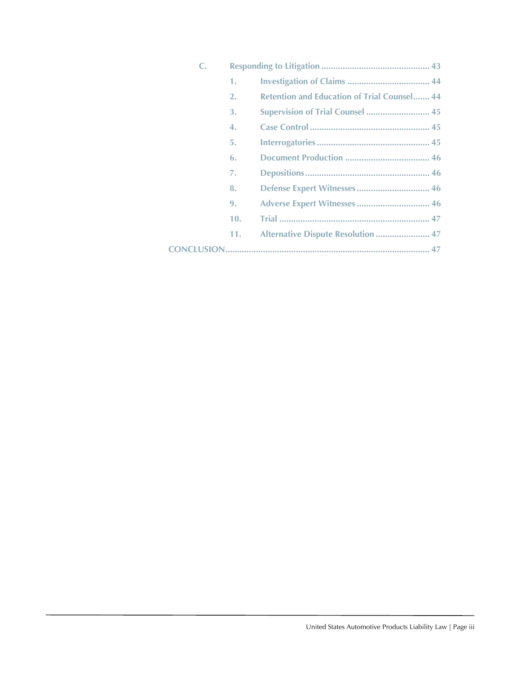| $\mathsf{C}$ . |     |                                                    |  |  |  |
|----------------|-----|----------------------------------------------------|--|--|--|
|                | 1.  |                                                    |  |  |  |
|                | 2.  | <b>Retention and Education of Trial Counsel 44</b> |  |  |  |
|                | 3.  | <b>Supervision of Trial Counsel  45</b>            |  |  |  |
|                | 4.  |                                                    |  |  |  |
|                | 5.  |                                                    |  |  |  |
|                | 6.  |                                                    |  |  |  |
|                | 7.  |                                                    |  |  |  |
|                | 8.  | Defense Expert Witnesses 46                        |  |  |  |
|                | 9.  | Adverse Expert Witnesses  46                       |  |  |  |
|                | 10. |                                                    |  |  |  |
|                | 11. | Alternative Dispute Resolution  47                 |  |  |  |
|                |     |                                                    |  |  |  |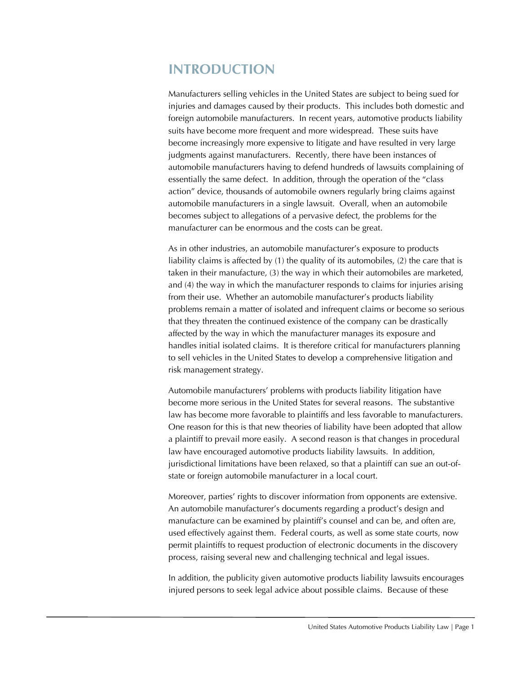# **INTRODUCTION**

Manufacturers selling vehicles in the United States are subject to being sued for injuries and damages caused by their products. This includes both domestic and foreign automobile manufacturers. In recent years, automotive products liability suits have become more frequent and more widespread. These suits have become increasingly more expensive to litigate and have resulted in very large judgments against manufacturers. Recently, there have been instances of automobile manufacturers having to defend hundreds of lawsuits complaining of essentially the same defect. In addition, through the operation of the "class action" device, thousands of automobile owners regularly bring claims against automobile manufacturers in a single lawsuit. Overall, when an automobile becomes subject to allegations of a pervasive defect, the problems for the manufacturer can be enormous and the costs can be great.

As in other industries, an automobile manufacturer's exposure to products liability claims is affected by (1) the quality of its automobiles, (2) the care that is taken in their manufacture, (3) the way in which their automobiles are marketed, and (4) the way in which the manufacturer responds to claims for injuries arising from their use. Whether an automobile manufacturer's products liability problems remain a matter of isolated and infrequent claims or become so serious that they threaten the continued existence of the company can be drastically affected by the way in which the manufacturer manages its exposure and handles initial isolated claims. It is therefore critical for manufacturers planning to sell vehicles in the United States to develop a comprehensive litigation and risk management strategy.

Automobile manufacturers' problems with products liability litigation have become more serious in the United States for several reasons. The substantive law has become more favorable to plaintiffs and less favorable to manufacturers. One reason for this is that new theories of liability have been adopted that allow a plaintiff to prevail more easily. A second reason is that changes in procedural law have encouraged automotive products liability lawsuits. In addition, jurisdictional limitations have been relaxed, so that a plaintiff can sue an out-ofstate or foreign automobile manufacturer in a local court.

Moreover, parties' rights to discover information from opponents are extensive. An automobile manufacturer's documents regarding a product's design and manufacture can be examined by plaintiff's counsel and can be, and often are, used effectively against them. Federal courts, as well as some state courts, now permit plaintiffs to request production of electronic documents in the discovery process, raising several new and challenging technical and legal issues.

In addition, the publicity given automotive products liability lawsuits encourages injured persons to seek legal advice about possible claims. Because of these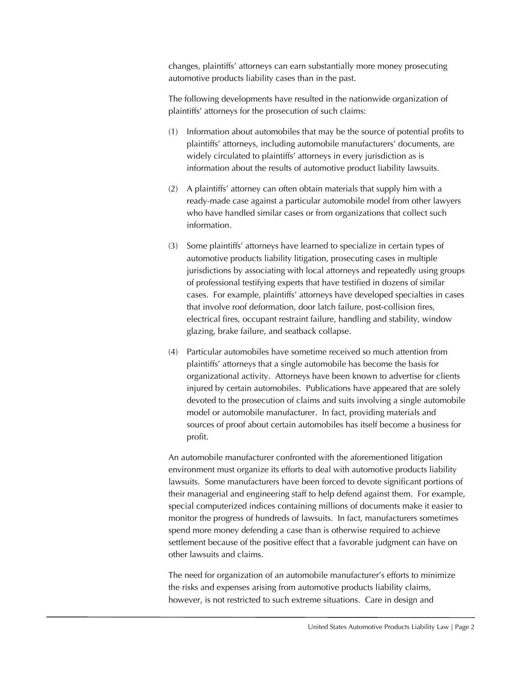changes, plaintiffs' attorneys can earn substantially more money prosecuting automotive products liability cases than in the past.

The following developments have resulted in the nationwide organization of plaintiffs' attorneys for the prosecution of such claims:

- (1) Information about automobiles that may be the source of potential profits to plaintiffs' attorneys, including automobile manufacturers' documents, are widely circulated to plaintiffs' attorneys in every jurisdiction as is information about the results of automotive product liability lawsuits.
- (2) A plaintiffs' attorney can often obtain materials that supply him with a ready-made case against a particular automobile model from other lawyers who have handled similar cases or from organizations that collect such information.
- (3) Some plaintiffs' attorneys have learned to specialize in certain types of automotive products liability litigation, prosecuting cases in multiple jurisdictions by associating with local attorneys and repeatedly using groups of professional testifying experts that have testified in dozens of similar cases. For example, plaintiffs' attorneys have developed specialties in cases that involve roof deformation, door latch failure, post-collision fires, electrical fires, occupant restraint failure, handling and stability, window glazing, brake failure, and seatback collapse.
- (4) Particular automobiles have sometime received so much attention from plaintiffs' attorneys that a single automobile has become the basis for organizational activity. Attorneys have been known to advertise for clients injured by certain automobiles. Publications have appeared that are solely devoted to the prosecution of claims and suits involving a single automobile model or automobile manufacturer. In fact, providing materials and sources of proof about certain automobiles has itself become a business for profit.

An automobile manufacturer confronted with the aforementioned litigation environment must organize its efforts to deal with automotive products liability lawsuits. Some manufacturers have been forced to devote significant portions of their managerial and engineering staff to help defend against them. For example, special computerized indices containing millions of documents make it easier to monitor the progress of hundreds of lawsuits. In fact, manufacturers sometimes spend more money defending a case than is otherwise required to achieve settlement because of the positive effect that a favorable judgment can have on other lawsuits and claims.

The need for organization of an automobile manufacturer's efforts to minimize the risks and expenses arising from automotive products liability claims, however, is not restricted to such extreme situations. Care in design and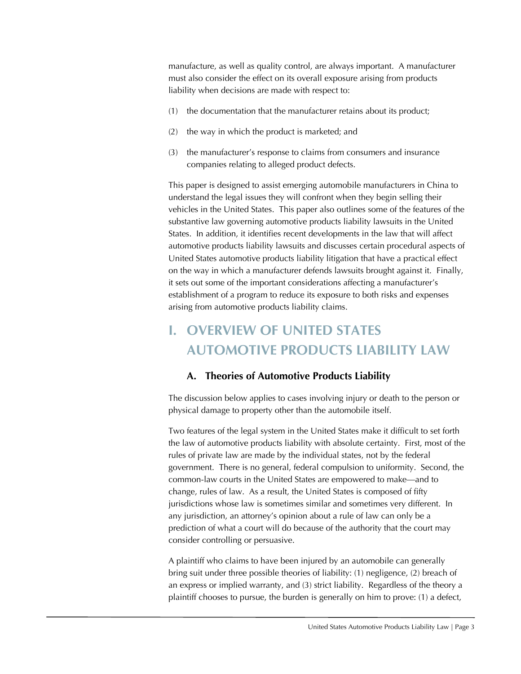manufacture, as well as quality control, are always important. A manufacturer must also consider the effect on its overall exposure arising from products liability when decisions are made with respect to:

- (1) the documentation that the manufacturer retains about its product;
- (2) the way in which the product is marketed; and
- (3) the manufacturer's response to claims from consumers and insurance companies relating to alleged product defects.

This paper is designed to assist emerging automobile manufacturers in China to understand the legal issues they will confront when they begin selling their vehicles in the United States. This paper also outlines some of the features of the substantive law governing automotive products liability lawsuits in the United States. In addition, it identifies recent developments in the law that will affect automotive products liability lawsuits and discusses certain procedural aspects of United States automotive products liability litigation that have a practical effect on the way in which a manufacturer defends lawsuits brought against it. Finally, it sets out some of the important considerations affecting a manufacturer's establishment of a program to reduce its exposure to both risks and expenses arising from automotive products liability claims.

# **I. OVERVIEW OF UNITED STATES AUTOMOTIVE PRODUCTS LIABILITY LAW**

# **A. Theories of Automotive Products Liability**

The discussion below applies to cases involving injury or death to the person or physical damage to property other than the automobile itself.

Two features of the legal system in the United States make it difficult to set forth the law of automotive products liability with absolute certainty. First, most of the rules of private law are made by the individual states, not by the federal government. There is no general, federal compulsion to uniformity. Second, the common-law courts in the United States are empowered to make—and to change, rules of law. As a result, the United States is composed of fifty jurisdictions whose law is sometimes similar and sometimes very different. In any jurisdiction, an attorney's opinion about a rule of law can only be a prediction of what a court will do because of the authority that the court may consider controlling or persuasive.

A plaintiff who claims to have been injured by an automobile can generally bring suit under three possible theories of liability: (1) negligence, (2) breach of an express or implied warranty, and (3) strict liability. Regardless of the theory a plaintiff chooses to pursue, the burden is generally on him to prove: (1) a defect,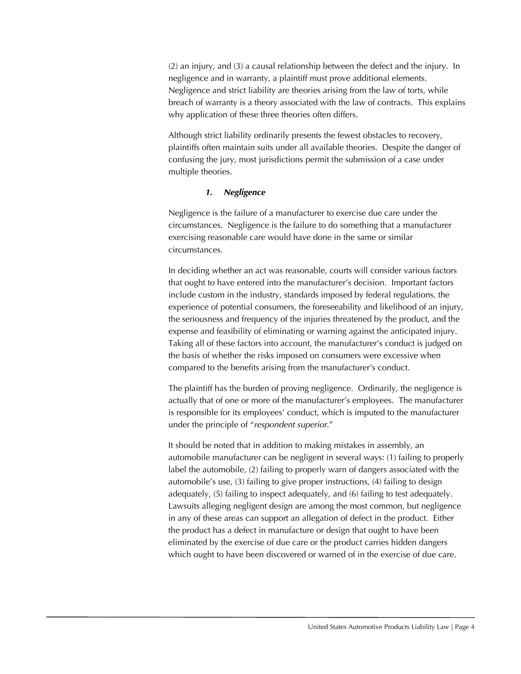(2) an injury, and (3) a causal relationship between the defect and the injury. In negligence and in warranty, a plaintiff must prove additional elements. Negligence and strict liability are theories arising from the law of torts, while breach of warranty is a theory associated with the law of contracts. This explains why application of these three theories often differs.

Although strict liability ordinarily presents the fewest obstacles to recovery, plaintiffs often maintain suits under all available theories. Despite the danger of confusing the jury, most jurisdictions permit the submission of a case under multiple theories.

#### *1. Negligence*

Negligence is the failure of a manufacturer to exercise due care under the circumstances. Negligence is the failure to do something that a manufacturer exercising reasonable care would have done in the same or similar circumstances.

In deciding whether an act was reasonable, courts will consider various factors that ought to have entered into the manufacturer's decision. Important factors include custom in the industry, standards imposed by federal regulations, the experience of potential consumers, the foreseeability and likelihood of an injury, the seriousness and frequency of the injuries threatened by the product, and the expense and feasibility of eliminating or warning against the anticipated injury. Taking all of these factors into account, the manufacturer's conduct is judged on the basis of whether the risks imposed on consumers were excessive when compared to the benefits arising from the manufacturer's conduct.

The plaintiff has the burden of proving negligence. Ordinarily, the negligence is actually that of one or more of the manufacturer's employees. The manufacturer is responsible for its employees' conduct, which is imputed to the manufacturer under the principle of "*respondent superior*."

It should be noted that in addition to making mistakes in assembly, an automobile manufacturer can be negligent in several ways: (1) failing to properly label the automobile, (2) failing to properly warn of dangers associated with the automobile's use, (3) failing to give proper instructions, (4) failing to design adequately, (5) failing to inspect adequately, and (6) failing to test adequately. Lawsuits alleging negligent design are among the most common, but negligence in any of these areas can support an allegation of defect in the product. Either the product has a defect in manufacture or design that ought to have been eliminated by the exercise of due care or the product carries hidden dangers which ought to have been discovered or warned of in the exercise of due care.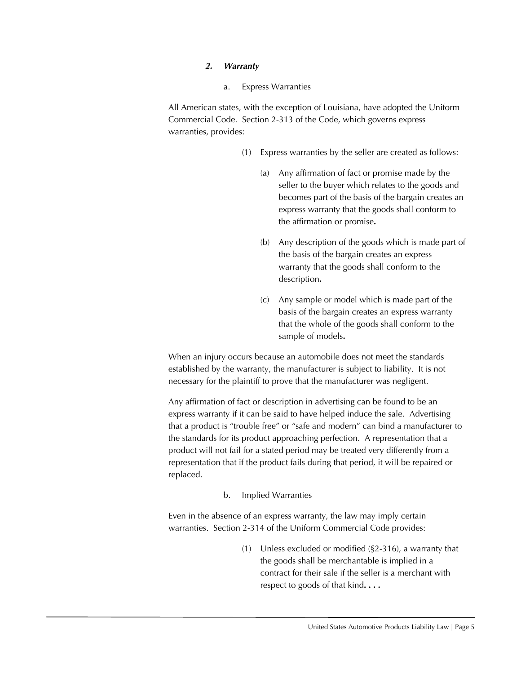#### *2. Warranty*

a. Express Warranties

All American states, with the exception of Louisiana, have adopted the Uniform Commercial Code. Section 2-313 of the Code, which governs express warranties, provides:

- (1) Express warranties by the seller are created as follows:
	- (a) Any affirmation of fact or promise made by the seller to the buyer which relates to the goods and becomes part of the basis of the bargain creates an express warranty that the goods shall conform to the affirmation or promise**.**
	- (b) Any description of the goods which is made part of the basis of the bargain creates an express warranty that the goods shall conform to the description**.**
	- (c) Any sample or model which is made part of the basis of the bargain creates an express warranty that the whole of the goods shall conform to the sample of models**.**

When an injury occurs because an automobile does not meet the standards established by the warranty, the manufacturer is subject to liability. It is not necessary for the plaintiff to prove that the manufacturer was negligent.

Any affirmation of fact or description in advertising can be found to be an express warranty if it can be said to have helped induce the sale. Advertising that a product is "trouble free" or "safe and modern" can bind a manufacturer to the standards for its product approaching perfection. A representation that a product will not fail for a stated period may be treated very differently from a representation that if the product fails during that period, it will be repaired or replaced.

#### b. Implied Warranties

Even in the absence of an express warranty, the law may imply certain warranties. Section 2-314 of the Uniform Commercial Code provides:

> (1) Unless excluded or modified (§2-316), a warranty that the goods shall be merchantable is implied in a contract for their sale if the seller is a merchant with respect to goods of that kind**. . . .**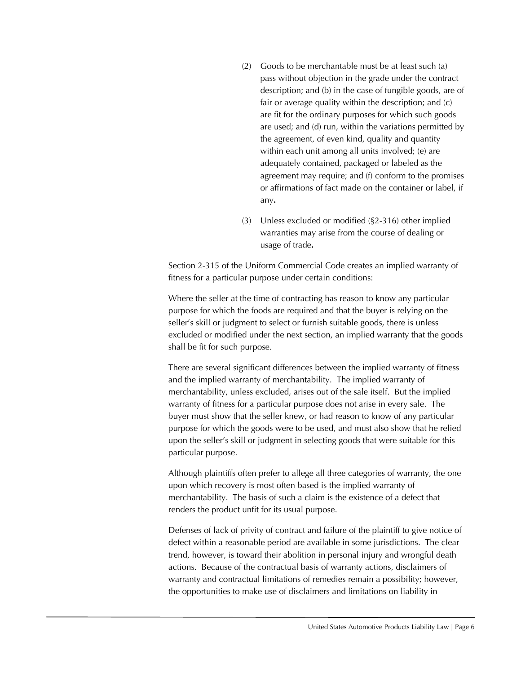- (2) Goods to be merchantable must be at least such (a) pass without objection in the grade under the contract description; and (b) in the case of fungible goods, are of fair or average quality within the description; and (c) are fit for the ordinary purposes for which such goods are used; and (d) run, within the variations permitted by the agreement, of even kind, quality and quantity within each unit among all units involved; (e) are adequately contained, packaged or labeled as the agreement may require; and (f) conform to the promises or affirmations of fact made on the container or label, if any**.**
- (3) Unless excluded or modified (§2-316) other implied warranties may arise from the course of dealing or usage of trade**.**

Section 2-315 of the Uniform Commercial Code creates an implied warranty of fitness for a particular purpose under certain conditions:

Where the seller at the time of contracting has reason to know any particular purpose for which the foods are required and that the buyer is relying on the seller's skill or judgment to select or furnish suitable goods, there is unless excluded or modified under the next section, an implied warranty that the goods shall be fit for such purpose.

There are several significant differences between the implied warranty of fitness and the implied warranty of merchantability. The implied warranty of merchantability, unless excluded, arises out of the sale itself. But the implied warranty of fitness for a particular purpose does not arise in every sale. The buyer must show that the seller knew, or had reason to know of any particular purpose for which the goods were to be used, and must also show that he relied upon the seller's skill or judgment in selecting goods that were suitable for this particular purpose.

Although plaintiffs often prefer to allege all three categories of warranty, the one upon which recovery is most often based is the implied warranty of merchantability. The basis of such a claim is the existence of a defect that renders the product unfit for its usual purpose.

Defenses of lack of privity of contract and failure of the plaintiff to give notice of defect within a reasonable period are available in some jurisdictions. The clear trend, however, is toward their abolition in personal injury and wrongful death actions. Because of the contractual basis of warranty actions, disclaimers of warranty and contractual limitations of remedies remain a possibility; however, the opportunities to make use of disclaimers and limitations on liability in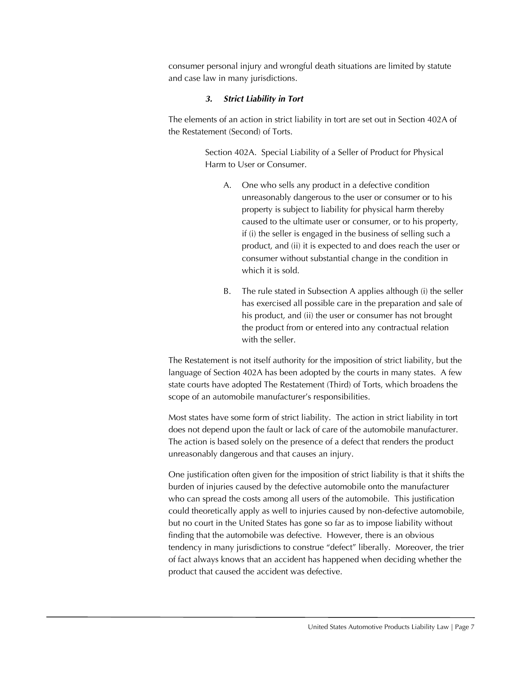consumer personal injury and wrongful death situations are limited by statute and case law in many jurisdictions.

#### *3. Strict Liability in Tort*

The elements of an action in strict liability in tort are set out in Section 402A of the Restatement (Second) of Torts.

> Section 402A. Special Liability of a Seller of Product for Physical Harm to User or Consumer.

- A. One who sells any product in a defective condition unreasonably dangerous to the user or consumer or to his property is subject to liability for physical harm thereby caused to the ultimate user or consumer, or to his property, if (i) the seller is engaged in the business of selling such a product, and (ii) it is expected to and does reach the user or consumer without substantial change in the condition in which it is sold.
- B. The rule stated in Subsection A applies although (i) the seller has exercised all possible care in the preparation and sale of his product, and (ii) the user or consumer has not brought the product from or entered into any contractual relation with the seller.

The Restatement is not itself authority for the imposition of strict liability, but the language of Section 402A has been adopted by the courts in many states. A few state courts have adopted The Restatement (Third) of Torts, which broadens the scope of an automobile manufacturer's responsibilities.

Most states have some form of strict liability. The action in strict liability in tort does not depend upon the fault or lack of care of the automobile manufacturer. The action is based solely on the presence of a defect that renders the product unreasonably dangerous and that causes an injury.

One justification often given for the imposition of strict liability is that it shifts the burden of injuries caused by the defective automobile onto the manufacturer who can spread the costs among all users of the automobile. This justification could theoretically apply as well to injuries caused by non-defective automobile, but no court in the United States has gone so far as to impose liability without finding that the automobile was defective. However, there is an obvious tendency in many jurisdictions to construe "defect" liberally. Moreover, the trier of fact always knows that an accident has happened when deciding whether the product that caused the accident was defective.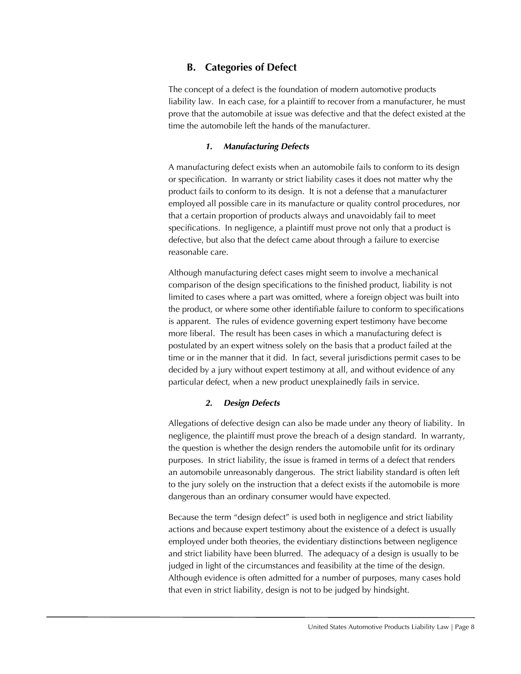# **B. Categories of Defect**

The concept of a defect is the foundation of modern automotive products liability law. In each case, for a plaintiff to recover from a manufacturer, he must prove that the automobile at issue was defective and that the defect existed at the time the automobile left the hands of the manufacturer.

# *1. Manufacturing Defects*

A manufacturing defect exists when an automobile fails to conform to its design or specification. In warranty or strict liability cases it does not matter why the product fails to conform to its design. It is not a defense that a manufacturer employed all possible care in its manufacture or quality control procedures, nor that a certain proportion of products always and unavoidably fail to meet specifications. In negligence, a plaintiff must prove not only that a product is defective, but also that the defect came about through a failure to exercise reasonable care.

Although manufacturing defect cases might seem to involve a mechanical comparison of the design specifications to the finished product, liability is not limited to cases where a part was omitted, where a foreign object was built into the product, or where some other identifiable failure to conform to specifications is apparent. The rules of evidence governing expert testimony have become more liberal. The result has been cases in which a manufacturing defect is postulated by an expert witness solely on the basis that a product failed at the time or in the manner that it did. In fact, several jurisdictions permit cases to be decided by a jury without expert testimony at all, and without evidence of any particular defect, when a new product unexplainedly fails in service.

# *2. Design Defects*

Allegations of defective design can also be made under any theory of liability. In negligence, the plaintiff must prove the breach of a design standard. In warranty, the question is whether the design renders the automobile unfit for its ordinary purposes. In strict liability, the issue is framed in terms of a defect that renders an automobile unreasonably dangerous. The strict liability standard is often left to the jury solely on the instruction that a defect exists if the automobile is more dangerous than an ordinary consumer would have expected.

Because the term "design defect" is used both in negligence and strict liability actions and because expert testimony about the existence of a defect is usually employed under both theories, the evidentiary distinctions between negligence and strict liability have been blurred. The adequacy of a design is usually to be judged in light of the circumstances and feasibility at the time of the design. Although evidence is often admitted for a number of purposes, many cases hold that even in strict liability, design is not to be judged by hindsight.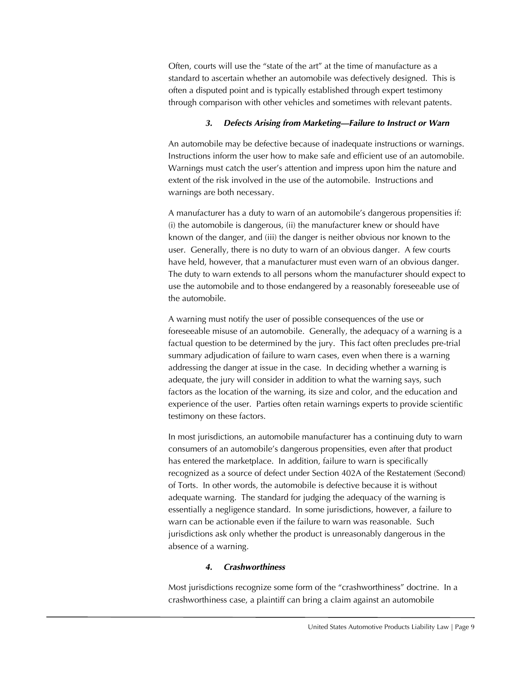Often, courts will use the "state of the art" at the time of manufacture as a standard to ascertain whether an automobile was defectively designed. This is often a disputed point and is typically established through expert testimony through comparison with other vehicles and sometimes with relevant patents.

# *3. Defects Arising from Marketing—Failure to Instruct or Warn*

An automobile may be defective because of inadequate instructions or warnings. Instructions inform the user how to make safe and efficient use of an automobile. Warnings must catch the user's attention and impress upon him the nature and extent of the risk involved in the use of the automobile. Instructions and warnings are both necessary.

A manufacturer has a duty to warn of an automobile's dangerous propensities if: (i) the automobile is dangerous, (ii) the manufacturer knew or should have known of the danger, and (iii) the danger is neither obvious nor known to the user. Generally, there is no duty to warn of an obvious danger. A few courts have held, however, that a manufacturer must even warn of an obvious danger. The duty to warn extends to all persons whom the manufacturer should expect to use the automobile and to those endangered by a reasonably foreseeable use of the automobile.

A warning must notify the user of possible consequences of the use or foreseeable misuse of an automobile. Generally, the adequacy of a warning is a factual question to be determined by the jury. This fact often precludes pre-trial summary adjudication of failure to warn cases, even when there is a warning addressing the danger at issue in the case. In deciding whether a warning is adequate, the jury will consider in addition to what the warning says, such factors as the location of the warning, its size and color, and the education and experience of the user. Parties often retain warnings experts to provide scientific testimony on these factors.

In most jurisdictions, an automobile manufacturer has a continuing duty to warn consumers of an automobile's dangerous propensities, even after that product has entered the marketplace. In addition, failure to warn is specifically recognized as a source of defect under Section 402A of the Restatement (Second) of Torts. In other words, the automobile is defective because it is without adequate warning. The standard for judging the adequacy of the warning is essentially a negligence standard. In some jurisdictions, however, a failure to warn can be actionable even if the failure to warn was reasonable. Such jurisdictions ask only whether the product is unreasonably dangerous in the absence of a warning.

# *4. Crashworthiness*

Most jurisdictions recognize some form of the "crashworthiness" doctrine. In a crashworthiness case, a plaintiff can bring a claim against an automobile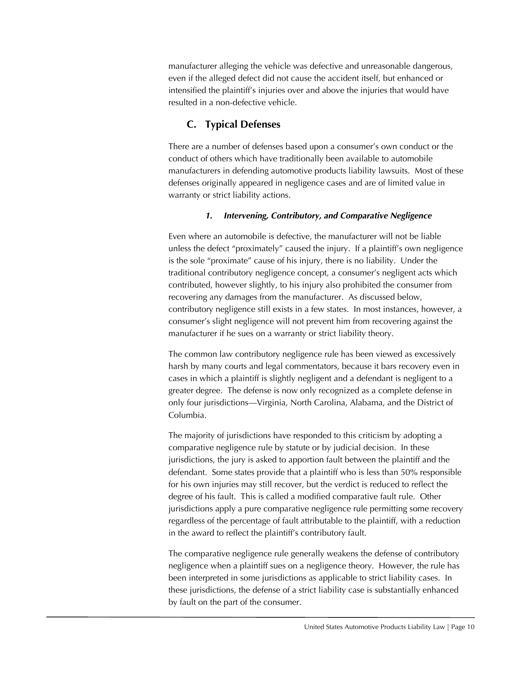manufacturer alleging the vehicle was defective and unreasonable dangerous, even if the alleged defect did not cause the accident itself, but enhanced or intensified the plaintiff's injuries over and above the injuries that would have resulted in a non-defective vehicle.

# **C. Typical Defenses**

There are a number of defenses based upon a consumer's own conduct or the conduct of others which have traditionally been available to automobile manufacturers in defending automotive products liability lawsuits. Most of these defenses originally appeared in negligence cases and are of limited value in warranty or strict liability actions.

# *1. Intervening, Contributory, and Comparative Negligence*

Even where an automobile is defective, the manufacturer will not be liable unless the defect "proximately" caused the injury. If a plaintiff's own negligence is the sole "proximate" cause of his injury, there is no liability. Under the traditional contributory negligence concept, a consumer's negligent acts which contributed, however slightly, to his injury also prohibited the consumer from recovering any damages from the manufacturer. As discussed below, contributory negligence still exists in a few states. In most instances, however, a consumer's slight negligence will not prevent him from recovering against the manufacturer if he sues on a warranty or strict liability theory.

The common law contributory negligence rule has been viewed as excessively harsh by many courts and legal commentators, because it bars recovery even in cases in which a plaintiff is slightly negligent and a defendant is negligent to a greater degree. The defense is now only recognized as a complete defense in only four jurisdictions—Virginia, North Carolina, Alabama, and the District of Columbia.

The majority of jurisdictions have responded to this criticism by adopting a comparative negligence rule by statute or by judicial decision. In these jurisdictions, the jury is asked to apportion fault between the plaintiff and the defendant. Some states provide that a plaintiff who is less than 50% responsible for his own injuries may still recover, but the verdict is reduced to reflect the degree of his fault. This is called a modified comparative fault rule. Other jurisdictions apply a pure comparative negligence rule permitting some recovery regardless of the percentage of fault attributable to the plaintiff, with a reduction in the award to reflect the plaintiff's contributory fault.

The comparative negligence rule generally weakens the defense of contributory negligence when a plaintiff sues on a negligence theory. However, the rule has been interpreted in some jurisdictions as applicable to strict liability cases. In these jurisdictions, the defense of a strict liability case is substantially enhanced by fault on the part of the consumer.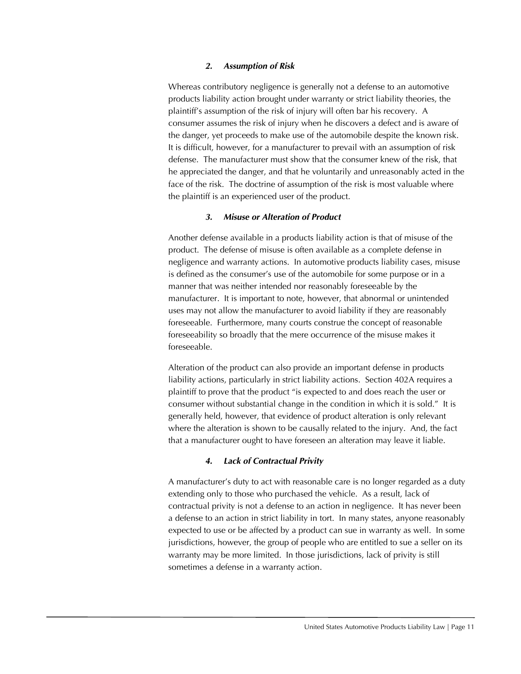#### *2. Assumption of Risk*

Whereas contributory negligence is generally not a defense to an automotive products liability action brought under warranty or strict liability theories, the plaintiff's assumption of the risk of injury will often bar his recovery. A consumer assumes the risk of injury when he discovers a defect and is aware of the danger, yet proceeds to make use of the automobile despite the known risk. It is difficult, however, for a manufacturer to prevail with an assumption of risk defense. The manufacturer must show that the consumer knew of the risk, that he appreciated the danger, and that he voluntarily and unreasonably acted in the face of the risk. The doctrine of assumption of the risk is most valuable where the plaintiff is an experienced user of the product.

#### *3. Misuse or Alteration of Product*

Another defense available in a products liability action is that of misuse of the product. The defense of misuse is often available as a complete defense in negligence and warranty actions. In automotive products liability cases, misuse is defined as the consumer's use of the automobile for some purpose or in a manner that was neither intended nor reasonably foreseeable by the manufacturer. It is important to note, however, that abnormal or unintended uses may not allow the manufacturer to avoid liability if they are reasonably foreseeable. Furthermore, many courts construe the concept of reasonable foreseeability so broadly that the mere occurrence of the misuse makes it foreseeable.

Alteration of the product can also provide an important defense in products liability actions, particularly in strict liability actions. Section 402A requires a plaintiff to prove that the product "is expected to and does reach the user or consumer without substantial change in the condition in which it is sold." It is generally held, however, that evidence of product alteration is only relevant where the alteration is shown to be causally related to the injury. And, the fact that a manufacturer ought to have foreseen an alteration may leave it liable.

#### *4. Lack of Contractual Privity*

A manufacturer's duty to act with reasonable care is no longer regarded as a duty extending only to those who purchased the vehicle. As a result, lack of contractual privity is not a defense to an action in negligence. It has never been a defense to an action in strict liability in tort. In many states, anyone reasonably expected to use or be affected by a product can sue in warranty as well. In some jurisdictions, however, the group of people who are entitled to sue a seller on its warranty may be more limited. In those jurisdictions, lack of privity is still sometimes a defense in a warranty action.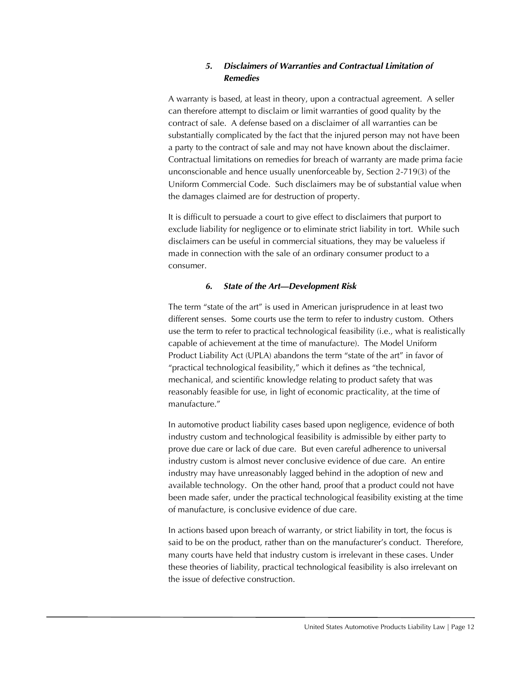# *5. Disclaimers of Warranties and Contractual Limitation of Remedies*

A warranty is based, at least in theory, upon a contractual agreement. A seller can therefore attempt to disclaim or limit warranties of good quality by the contract of sale. A defense based on a disclaimer of all warranties can be substantially complicated by the fact that the injured person may not have been a party to the contract of sale and may not have known about the disclaimer. Contractual limitations on remedies for breach of warranty are made prima facie unconscionable and hence usually unenforceable by, Section 2-719(3) of the Uniform Commercial Code. Such disclaimers may be of substantial value when the damages claimed are for destruction of property.

It is difficult to persuade a court to give effect to disclaimers that purport to exclude liability for negligence or to eliminate strict liability in tort. While such disclaimers can be useful in commercial situations, they may be valueless if made in connection with the sale of an ordinary consumer product to a consumer.

# *6. State of the Art—Development Risk*

The term "state of the art" is used in American jurisprudence in at least two different senses. Some courts use the term to refer to industry custom. Others use the term to refer to practical technological feasibility (i.e., what is realistically capable of achievement at the time of manufacture). The Model Uniform Product Liability Act (UPLA) abandons the term "state of the art" in favor of "practical technological feasibility," which it defines as "the technical, mechanical, and scientific knowledge relating to product safety that was reasonably feasible for use, in light of economic practicality, at the time of manufacture."

In automotive product liability cases based upon negligence, evidence of both industry custom and technological feasibility is admissible by either party to prove due care or lack of due care. But even careful adherence to universal industry custom is almost never conclusive evidence of due care. An entire industry may have unreasonably lagged behind in the adoption of new and available technology. On the other hand, proof that a product could not have been made safer, under the practical technological feasibility existing at the time of manufacture, is conclusive evidence of due care.

In actions based upon breach of warranty, or strict liability in tort, the focus is said to be on the product, rather than on the manufacturer's conduct. Therefore, many courts have held that industry custom is irrelevant in these cases. Under these theories of liability, practical technological feasibility is also irrelevant on the issue of defective construction.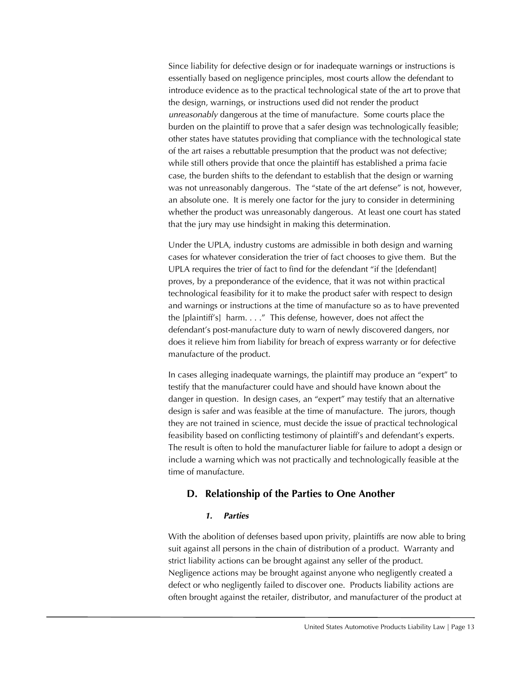Since liability for defective design or for inadequate warnings or instructions is essentially based on negligence principles, most courts allow the defendant to introduce evidence as to the practical technological state of the art to prove that the design, warnings, or instructions used did not render the product *unreasonably* dangerous at the time of manufacture. Some courts place the burden on the plaintiff to prove that a safer design was technologically feasible; other states have statutes providing that compliance with the technological state of the art raises a rebuttable presumption that the product was not defective; while still others provide that once the plaintiff has established a prima facie case, the burden shifts to the defendant to establish that the design or warning was not unreasonably dangerous. The "state of the art defense" is not, however, an absolute one. It is merely one factor for the jury to consider in determining whether the product was unreasonably dangerous. At least one court has stated that the jury may use hindsight in making this determination.

Under the UPLA, industry customs are admissible in both design and warning cases for whatever consideration the trier of fact chooses to give them. But the UPLA requires the trier of fact to find for the defendant "if the [defendant] proves, by a preponderance of the evidence, that it was not within practical technological feasibility for it to make the product safer with respect to design and warnings or instructions at the time of manufacture so as to have prevented the [plaintiff's] harm. . . ." This defense, however, does not affect the defendant's post-manufacture duty to warn of newly discovered dangers, nor does it relieve him from liability for breach of express warranty or for defective manufacture of the product.

In cases alleging inadequate warnings, the plaintiff may produce an "expert" to testify that the manufacturer could have and should have known about the danger in question. In design cases, an "expert" may testify that an alternative design is safer and was feasible at the time of manufacture. The jurors, though they are not trained in science, must decide the issue of practical technological feasibility based on conflicting testimony of plaintiff's and defendant's experts. The result is often to hold the manufacturer liable for failure to adopt a design or include a warning which was not practically and technologically feasible at the time of manufacture.

# **D. Relationship of the Parties to One Another**

#### *1. Parties*

With the abolition of defenses based upon privity, plaintiffs are now able to bring suit against all persons in the chain of distribution of a product. Warranty and strict liability actions can be brought against any seller of the product. Negligence actions may be brought against anyone who negligently created a defect or who negligently failed to discover one. Products liability actions are often brought against the retailer, distributor, and manufacturer of the product at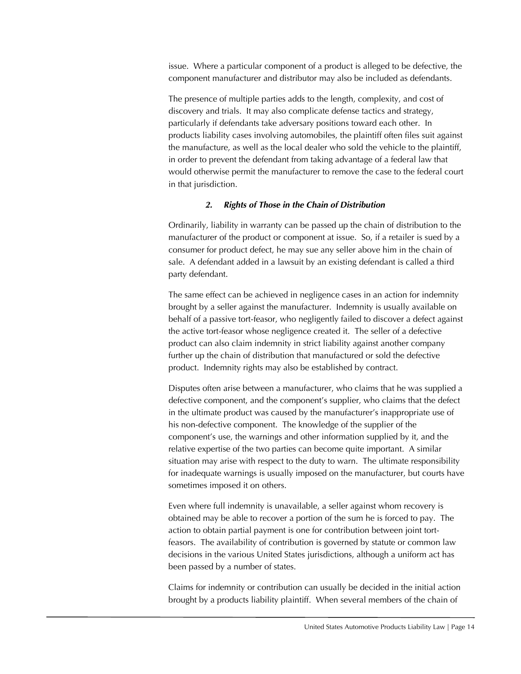issue. Where a particular component of a product is alleged to be defective, the component manufacturer and distributor may also be included as defendants.

The presence of multiple parties adds to the length, complexity, and cost of discovery and trials. It may also complicate defense tactics and strategy, particularly if defendants take adversary positions toward each other. In products liability cases involving automobiles, the plaintiff often files suit against the manufacture, as well as the local dealer who sold the vehicle to the plaintiff, in order to prevent the defendant from taking advantage of a federal law that would otherwise permit the manufacturer to remove the case to the federal court in that jurisdiction.

#### *2. Rights of Those in the Chain of Distribution*

Ordinarily, liability in warranty can be passed up the chain of distribution to the manufacturer of the product or component at issue. So, if a retailer is sued by a consumer for product defect, he may sue any seller above him in the chain of sale. A defendant added in a lawsuit by an existing defendant is called a third party defendant.

The same effect can be achieved in negligence cases in an action for indemnity brought by a seller against the manufacturer. Indemnity is usually available on behalf of a passive tort-feasor, who negligently failed to discover a defect against the active tort-feasor whose negligence created it. The seller of a defective product can also claim indemnity in strict liability against another company further up the chain of distribution that manufactured or sold the defective product. Indemnity rights may also be established by contract.

Disputes often arise between a manufacturer, who claims that he was supplied a defective component, and the component's supplier, who claims that the defect in the ultimate product was caused by the manufacturer's inappropriate use of his non-defective component. The knowledge of the supplier of the component's use, the warnings and other information supplied by it, and the relative expertise of the two parties can become quite important. A similar situation may arise with respect to the duty to warn. The ultimate responsibility for inadequate warnings is usually imposed on the manufacturer, but courts have sometimes imposed it on others.

Even where full indemnity is unavailable, a seller against whom recovery is obtained may be able to recover a portion of the sum he is forced to pay. The action to obtain partial payment is one for contribution between joint tortfeasors. The availability of contribution is governed by statute or common law decisions in the various United States jurisdictions, although a uniform act has been passed by a number of states.

Claims for indemnity or contribution can usually be decided in the initial action brought by a products liability plaintiff. When several members of the chain of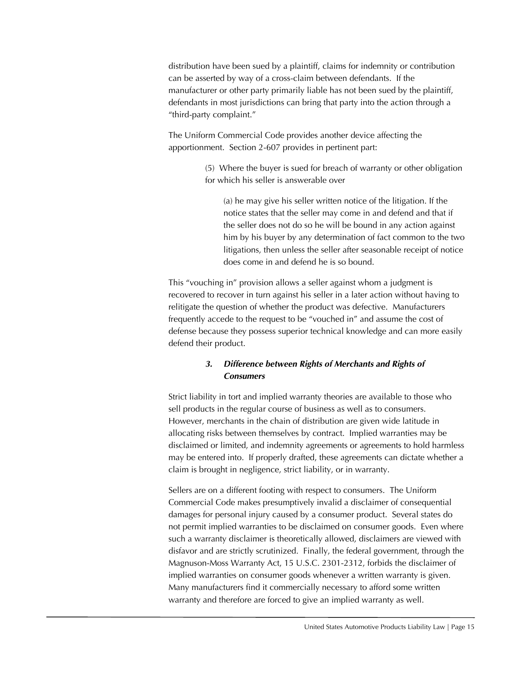distribution have been sued by a plaintiff, claims for indemnity or contribution can be asserted by way of a cross-claim between defendants. If the manufacturer or other party primarily liable has not been sued by the plaintiff, defendants in most jurisdictions can bring that party into the action through a "third-party complaint."

The Uniform Commercial Code provides another device affecting the apportionment. Section 2-607 provides in pertinent part:

> (5) Where the buyer is sued for breach of warranty or other obligation for which his seller is answerable over

(a) he may give his seller written notice of the litigation. If the notice states that the seller may come in and defend and that if the seller does not do so he will be bound in any action against him by his buyer by any determination of fact common to the two litigations, then unless the seller after seasonable receipt of notice does come in and defend he is so bound.

This "vouching in" provision allows a seller against whom a judgment is recovered to recover in turn against his seller in a later action without having to relitigate the question of whether the product was defective. Manufacturers frequently accede to the request to be "vouched in" and assume the cost of defense because they possess superior technical knowledge and can more easily defend their product.

# *3. Difference between Rights of Merchants and Rights of Consumers*

Strict liability in tort and implied warranty theories are available to those who sell products in the regular course of business as well as to consumers. However, merchants in the chain of distribution are given wide latitude in allocating risks between themselves by contract. Implied warranties may be disclaimed or limited, and indemnity agreements or agreements to hold harmless may be entered into. If properly drafted, these agreements can dictate whether a claim is brought in negligence, strict liability, or in warranty.

Sellers are on a different footing with respect to consumers. The Uniform Commercial Code makes presumptively invalid a disclaimer of consequential damages for personal injury caused by a consumer product. Several states do not permit implied warranties to be disclaimed on consumer goods. Even where such a warranty disclaimer is theoretically allowed, disclaimers are viewed with disfavor and are strictly scrutinized. Finally, the federal government, through the Magnuson-Moss Warranty Act, 15 U.S.C. 2301-2312, forbids the disclaimer of implied warranties on consumer goods whenever a written warranty is given. Many manufacturers find it commercially necessary to afford some written warranty and therefore are forced to give an implied warranty as well.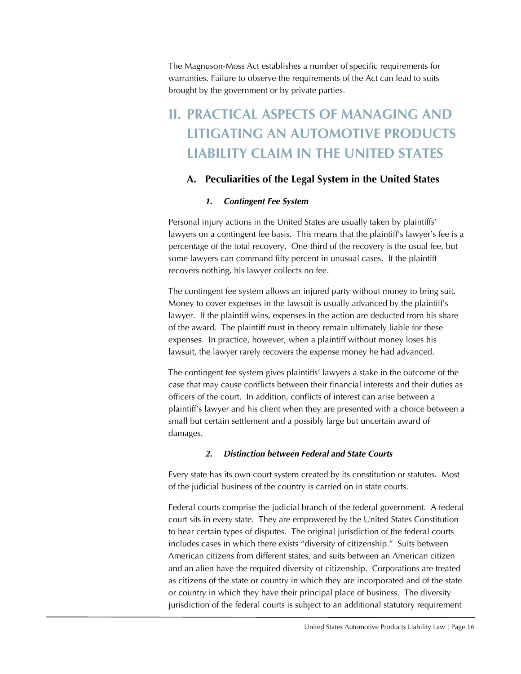The Magnuson-Moss Act establishes a number of specific requirements for warranties. Failure to observe the requirements of the Act can lead to suits brought by the government or by private parties.

# **II. PRACTICAL ASPECTS OF MANAGING AND LITIGATING AN AUTOMOTIVE PRODUCTS LIABILITY CLAIM IN THE UNITED STATES**

# **A. Peculiarities of the Legal System in the United States**

# *1. Contingent Fee System*

Personal injury actions in the United States are usually taken by plaintiffs' lawyers on a contingent fee basis. This means that the plaintiff's lawyer's fee is a percentage of the total recovery. One-third of the recovery is the usual fee, but some lawyers can command fifty percent in unusual cases. If the plaintiff recovers nothing, his lawyer collects no fee.

The contingent fee system allows an injured party without money to bring suit. Money to cover expenses in the lawsuit is usually advanced by the plaintiff's lawyer. If the plaintiff wins, expenses in the action are deducted from his share of the award. The plaintiff must in theory remain ultimately liable for these expenses. In practice, however, when a plaintiff without money loses his lawsuit, the lawyer rarely recovers the expense money he had advanced.

The contingent fee system gives plaintiffs' lawyers a stake in the outcome of the case that may cause conflicts between their financial interests and their duties as officers of the court. In addition, conflicts of interest can arise between a plaintiff's lawyer and his client when they are presented with a choice between a small but certain settlement and a possibly large but uncertain award of damages.

# *2. Distinction between Federal and State Courts*

Every state has its own court system created by its constitution or statutes. Most of the judicial business of the country is carried on in state courts.

Federal courts comprise the judicial branch of the federal government. A federal court sits in every state. They are empowered by the United States Constitution to hear certain types of disputes. The original jurisdiction of the federal courts includes cases in which there exists "diversity of citizenship." Suits between American citizens from different states, and suits between an American citizen and an alien have the required diversity of citizenship. Corporations are treated as citizens of the state or country in which they are incorporated and of the state or country in which they have their principal place of business. The diversity jurisdiction of the federal courts is subject to an additional statutory requirement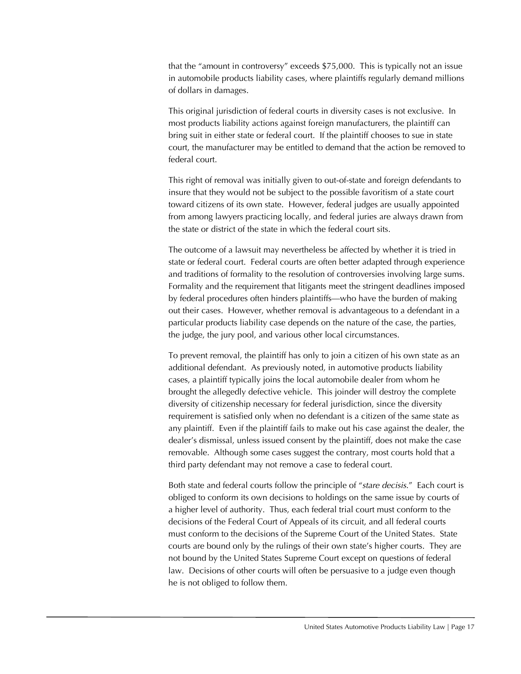that the "amount in controversy" exceeds \$75,000. This is typically not an issue in automobile products liability cases, where plaintiffs regularly demand millions of dollars in damages.

This original jurisdiction of federal courts in diversity cases is not exclusive. In most products liability actions against foreign manufacturers, the plaintiff can bring suit in either state or federal court. If the plaintiff chooses to sue in state court, the manufacturer may be entitled to demand that the action be removed to federal court.

This right of removal was initially given to out-of-state and foreign defendants to insure that they would not be subject to the possible favoritism of a state court toward citizens of its own state. However, federal judges are usually appointed from among lawyers practicing locally, and federal juries are always drawn from the state or district of the state in which the federal court sits.

The outcome of a lawsuit may nevertheless be affected by whether it is tried in state or federal court. Federal courts are often better adapted through experience and traditions of formality to the resolution of controversies involving large sums. Formality and the requirement that litigants meet the stringent deadlines imposed by federal procedures often hinders plaintiffs—who have the burden of making out their cases. However, whether removal is advantageous to a defendant in a particular products liability case depends on the nature of the case, the parties, the judge, the jury pool, and various other local circumstances.

To prevent removal, the plaintiff has only to join a citizen of his own state as an additional defendant. As previously noted, in automotive products liability cases, a plaintiff typically joins the local automobile dealer from whom he brought the allegedly defective vehicle. This joinder will destroy the complete diversity of citizenship necessary for federal jurisdiction, since the diversity requirement is satisfied only when no defendant is a citizen of the same state as any plaintiff. Even if the plaintiff fails to make out his case against the dealer, the dealer's dismissal, unless issued consent by the plaintiff, does not make the case removable. Although some cases suggest the contrary, most courts hold that a third party defendant may not remove a case to federal court.

Both state and federal courts follow the principle of "*stare decisis*." Each court is obliged to conform its own decisions to holdings on the same issue by courts of a higher level of authority. Thus, each federal trial court must conform to the decisions of the Federal Court of Appeals of its circuit, and all federal courts must conform to the decisions of the Supreme Court of the United States. State courts are bound only by the rulings of their own state's higher courts. They are not bound by the United States Supreme Court except on questions of federal law. Decisions of other courts will often be persuasive to a judge even though he is not obliged to follow them.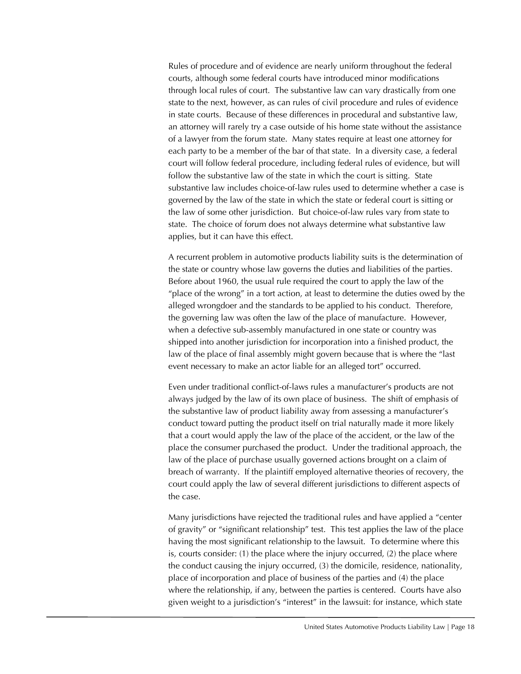Rules of procedure and of evidence are nearly uniform throughout the federal courts, although some federal courts have introduced minor modifications through local rules of court. The substantive law can vary drastically from one state to the next, however, as can rules of civil procedure and rules of evidence in state courts. Because of these differences in procedural and substantive law, an attorney will rarely try a case outside of his home state without the assistance of a lawyer from the forum state. Many states require at least one attorney for each party to be a member of the bar of that state. In a diversity case, a federal court will follow federal procedure, including federal rules of evidence, but will follow the substantive law of the state in which the court is sitting. State substantive law includes choice-of-law rules used to determine whether a case is governed by the law of the state in which the state or federal court is sitting or the law of some other jurisdiction. But choice-of-law rules vary from state to state. The choice of forum does not always determine what substantive law applies, but it can have this effect.

A recurrent problem in automotive products liability suits is the determination of the state or country whose law governs the duties and liabilities of the parties. Before about 1960, the usual rule required the court to apply the law of the "place of the wrong" in a tort action, at least to determine the duties owed by the alleged wrongdoer and the standards to be applied to his conduct. Therefore, the governing law was often the law of the place of manufacture. However, when a defective sub-assembly manufactured in one state or country was shipped into another jurisdiction for incorporation into a finished product, the law of the place of final assembly might govern because that is where the "last event necessary to make an actor liable for an alleged tort" occurred.

Even under traditional conflict-of-laws rules a manufacturer's products are not always judged by the law of its own place of business. The shift of emphasis of the substantive law of product liability away from assessing a manufacturer's conduct toward putting the product itself on trial naturally made it more likely that a court would apply the law of the place of the accident, or the law of the place the consumer purchased the product. Under the traditional approach, the law of the place of purchase usually governed actions brought on a claim of breach of warranty. If the plaintiff employed alternative theories of recovery, the court could apply the law of several different jurisdictions to different aspects of the case.

Many jurisdictions have rejected the traditional rules and have applied a "center of gravity" or "significant relationship" test. This test applies the law of the place having the most significant relationship to the lawsuit. To determine where this is, courts consider: (1) the place where the injury occurred, (2) the place where the conduct causing the injury occurred, (3) the domicile, residence, nationality, place of incorporation and place of business of the parties and (4) the place where the relationship, if any, between the parties is centered. Courts have also given weight to a jurisdiction's "interest" in the lawsuit: for instance, which state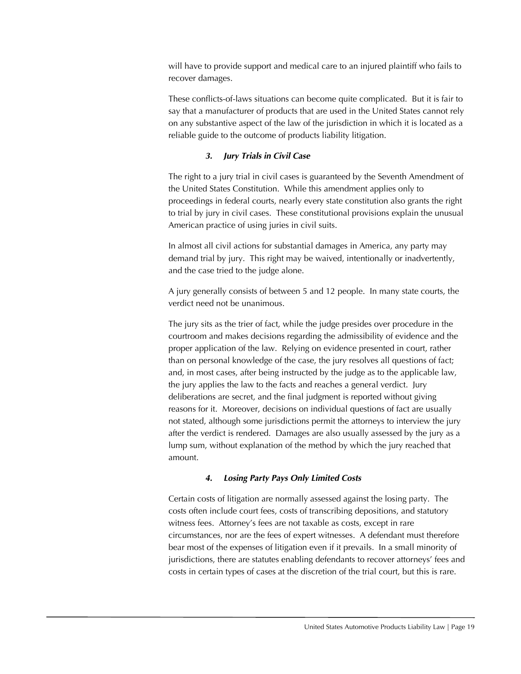will have to provide support and medical care to an injured plaintiff who fails to recover damages.

These conflicts-of-laws situations can become quite complicated. But it is fair to say that a manufacturer of products that are used in the United States cannot rely on any substantive aspect of the law of the jurisdiction in which it is located as a reliable guide to the outcome of products liability litigation.

# *3. Jury Trials in Civil Case*

The right to a jury trial in civil cases is guaranteed by the Seventh Amendment of the United States Constitution. While this amendment applies only to proceedings in federal courts, nearly every state constitution also grants the right to trial by jury in civil cases. These constitutional provisions explain the unusual American practice of using juries in civil suits.

In almost all civil actions for substantial damages in America, any party may demand trial by jury. This right may be waived, intentionally or inadvertently, and the case tried to the judge alone.

A jury generally consists of between 5 and 12 people. In many state courts, the verdict need not be unanimous.

The jury sits as the trier of fact, while the judge presides over procedure in the courtroom and makes decisions regarding the admissibility of evidence and the proper application of the law. Relying on evidence presented in court, rather than on personal knowledge of the case, the jury resolves all questions of fact; and, in most cases, after being instructed by the judge as to the applicable law, the jury applies the law to the facts and reaches a general verdict. Jury deliberations are secret, and the final judgment is reported without giving reasons for it. Moreover, decisions on individual questions of fact are usually not stated, although some jurisdictions permit the attorneys to interview the jury after the verdict is rendered. Damages are also usually assessed by the jury as a lump sum, without explanation of the method by which the jury reached that amount.

# *4. Losing Party Pays Only Limited Costs*

Certain costs of litigation are normally assessed against the losing party. The costs often include court fees, costs of transcribing depositions, and statutory witness fees. Attorney's fees are not taxable as costs, except in rare circumstances, nor are the fees of expert witnesses. A defendant must therefore bear most of the expenses of litigation even if it prevails. In a small minority of jurisdictions, there are statutes enabling defendants to recover attorneys' fees and costs in certain types of cases at the discretion of the trial court, but this is rare.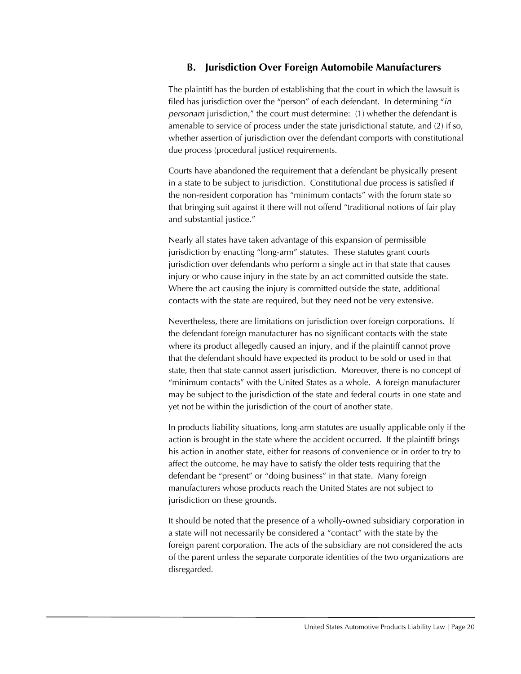# **B. Jurisdiction Over Foreign Automobile Manufacturers**

The plaintiff has the burden of establishing that the court in which the lawsuit is filed has jurisdiction over the "person" of each defendant. In determining "*in personam* jurisdiction," the court must determine: (1) whether the defendant is amenable to service of process under the state jurisdictional statute, and (2) if so, whether assertion of jurisdiction over the defendant comports with constitutional due process (procedural justice) requirements.

Courts have abandoned the requirement that a defendant be physically present in a state to be subject to jurisdiction. Constitutional due process is satisfied if the non-resident corporation has "minimum contacts" with the forum state so that bringing suit against it there will not offend "traditional notions of fair play and substantial justice."

Nearly all states have taken advantage of this expansion of permissible jurisdiction by enacting "long-arm" statutes. These statutes grant courts jurisdiction over defendants who perform a single act in that state that causes injury or who cause injury in the state by an act committed outside the state. Where the act causing the injury is committed outside the state, additional contacts with the state are required, but they need not be very extensive.

Nevertheless, there are limitations on jurisdiction over foreign corporations. If the defendant foreign manufacturer has no significant contacts with the state where its product allegedly caused an injury, and if the plaintiff cannot prove that the defendant should have expected its product to be sold or used in that state, then that state cannot assert jurisdiction. Moreover, there is no concept of "minimum contacts" with the United States as a whole. A foreign manufacturer may be subject to the jurisdiction of the state and federal courts in one state and yet not be within the jurisdiction of the court of another state.

In products liability situations, long-arm statutes are usually applicable only if the action is brought in the state where the accident occurred. If the plaintiff brings his action in another state, either for reasons of convenience or in order to try to affect the outcome, he may have to satisfy the older tests requiring that the defendant be "present" or "doing business" in that state. Many foreign manufacturers whose products reach the United States are not subject to jurisdiction on these grounds.

It should be noted that the presence of a wholly-owned subsidiary corporation in a state will not necessarily be considered a "contact" with the state by the foreign parent corporation. The acts of the subsidiary are not considered the acts of the parent unless the separate corporate identities of the two organizations are disregarded.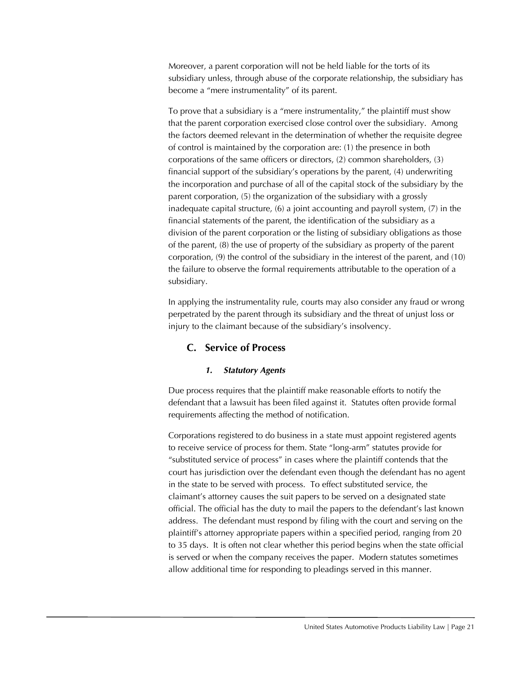Moreover, a parent corporation will not be held liable for the torts of its subsidiary unless, through abuse of the corporate relationship, the subsidiary has become a "mere instrumentality" of its parent.

To prove that a subsidiary is a "mere instrumentality," the plaintiff must show that the parent corporation exercised close control over the subsidiary. Among the factors deemed relevant in the determination of whether the requisite degree of control is maintained by the corporation are: (1) the presence in both corporations of the same officers or directors, (2) common shareholders, (3) financial support of the subsidiary's operations by the parent, (4) underwriting the incorporation and purchase of all of the capital stock of the subsidiary by the parent corporation, (5) the organization of the subsidiary with a grossly inadequate capital structure, (6) a joint accounting and payroll system, (7) in the financial statements of the parent, the identification of the subsidiary as a division of the parent corporation or the listing of subsidiary obligations as those of the parent, (8) the use of property of the subsidiary as property of the parent corporation, (9) the control of the subsidiary in the interest of the parent, and (10) the failure to observe the formal requirements attributable to the operation of a subsidiary.

In applying the instrumentality rule, courts may also consider any fraud or wrong perpetrated by the parent through its subsidiary and the threat of unjust loss or injury to the claimant because of the subsidiary's insolvency.

# **C. Service of Process**

# *1. Statutory Agents*

Due process requires that the plaintiff make reasonable efforts to notify the defendant that a lawsuit has been filed against it. Statutes often provide formal requirements affecting the method of notification.

Corporations registered to do business in a state must appoint registered agents to receive service of process for them. State "long-arm" statutes provide for "substituted service of process" in cases where the plaintiff contends that the court has jurisdiction over the defendant even though the defendant has no agent in the state to be served with process. To effect substituted service, the claimant's attorney causes the suit papers to be served on a designated state official. The official has the duty to mail the papers to the defendant's last known address. The defendant must respond by filing with the court and serving on the plaintiff's attorney appropriate papers within a specified period, ranging from 20 to 35 days. It is often not clear whether this period begins when the state official is served or when the company receives the paper. Modern statutes sometimes allow additional time for responding to pleadings served in this manner.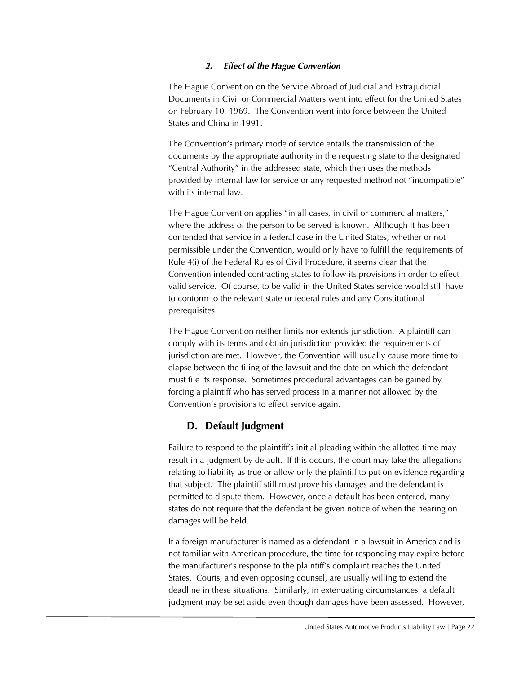#### *2. Effect of the Hague Convention*

The Hague Convention on the Service Abroad of Judicial and Extrajudicial Documents in Civil or Commercial Matters went into effect for the United States on February 10, 1969. The Convention went into force between the United States and China in 1991.

The Convention's primary mode of service entails the transmission of the documents by the appropriate authority in the requesting state to the designated "Central Authority" in the addressed state, which then uses the methods provided by internal law for service or any requested method not "incompatible" with its internal law.

The Hague Convention applies "in all cases, in civil or commercial matters," where the address of the person to be served is known. Although it has been contended that service in a federal case in the United States, whether or not permissible under the Convention, would only have to fulfill the requirements of Rule 4(i) of the Federal Rules of Civil Procedure, it seems clear that the Convention intended contracting states to follow its provisions in order to effect valid service. Of course, to be valid in the United States service would still have to conform to the relevant state or federal rules and any Constitutional prerequisites.

The Hague Convention neither limits nor extends jurisdiction. A plaintiff can comply with its terms and obtain jurisdiction provided the requirements of jurisdiction are met. However, the Convention will usually cause more time to elapse between the filing of the lawsuit and the date on which the defendant must file its response. Sometimes procedural advantages can be gained by forcing a plaintiff who has served process in a manner not allowed by the Convention's provisions to effect service again.

# **D. Default Judgment**

Failure to respond to the plaintiff's initial pleading within the allotted time may result in a judgment by default. If this occurs, the court may take the allegations relating to liability as true or allow only the plaintiff to put on evidence regarding that subject. The plaintiff still must prove his damages and the defendant is permitted to dispute them. However, once a default has been entered, many states do not require that the defendant be given notice of when the hearing on damages will be held.

If a foreign manufacturer is named as a defendant in a lawsuit in America and is not familiar with American procedure, the time for responding may expire before the manufacturer's response to the plaintiff's complaint reaches the United States. Courts, and even opposing counsel, are usually willing to extend the deadline in these situations. Similarly, in extenuating circumstances, a default judgment may be set aside even though damages have been assessed. However,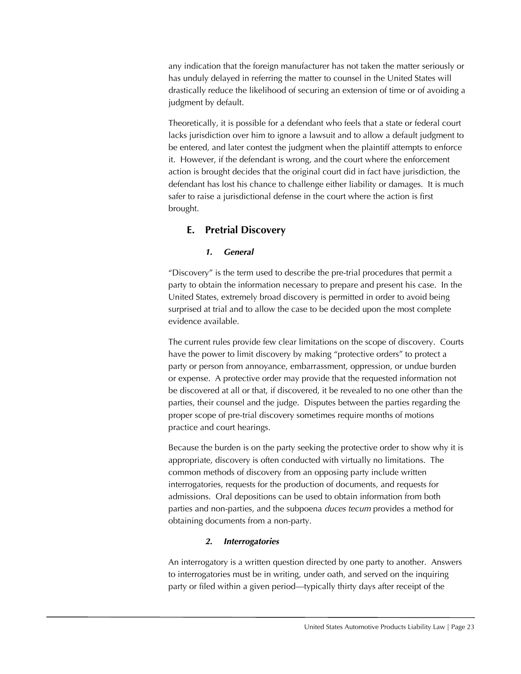any indication that the foreign manufacturer has not taken the matter seriously or has unduly delayed in referring the matter to counsel in the United States will drastically reduce the likelihood of securing an extension of time or of avoiding a judgment by default.

Theoretically, it is possible for a defendant who feels that a state or federal court lacks jurisdiction over him to ignore a lawsuit and to allow a default judgment to be entered, and later contest the judgment when the plaintiff attempts to enforce it. However, if the defendant is wrong, and the court where the enforcement action is brought decides that the original court did in fact have jurisdiction, the defendant has lost his chance to challenge either liability or damages. It is much safer to raise a jurisdictional defense in the court where the action is first brought.

# **E. Pretrial Discovery**

# *1. General*

"Discovery" is the term used to describe the pre-trial procedures that permit a party to obtain the information necessary to prepare and present his case. In the United States, extremely broad discovery is permitted in order to avoid being surprised at trial and to allow the case to be decided upon the most complete evidence available.

The current rules provide few clear limitations on the scope of discovery. Courts have the power to limit discovery by making "protective orders" to protect a party or person from annoyance, embarrassment, oppression, or undue burden or expense. A protective order may provide that the requested information not be discovered at all or that, if discovered, it be revealed to no one other than the parties, their counsel and the judge. Disputes between the parties regarding the proper scope of pre-trial discovery sometimes require months of motions practice and court hearings.

Because the burden is on the party seeking the protective order to show why it is appropriate, discovery is often conducted with virtually no limitations. The common methods of discovery from an opposing party include written interrogatories, requests for the production of documents, and requests for admissions. Oral depositions can be used to obtain information from both parties and non-parties, and the subpoena *duces tecum* provides a method for obtaining documents from a non-party.

# *2. Interrogatories*

An interrogatory is a written question directed by one party to another. Answers to interrogatories must be in writing, under oath, and served on the inquiring party or filed within a given period—typically thirty days after receipt of the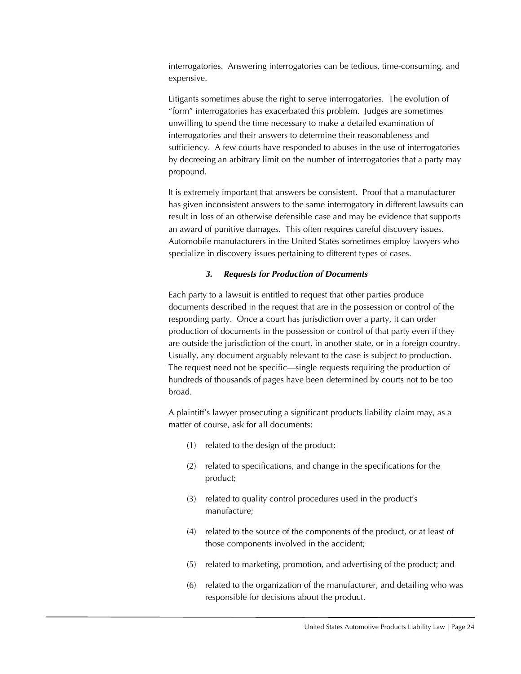interrogatories. Answering interrogatories can be tedious, time-consuming, and expensive.

Litigants sometimes abuse the right to serve interrogatories. The evolution of "form" interrogatories has exacerbated this problem. Judges are sometimes unwilling to spend the time necessary to make a detailed examination of interrogatories and their answers to determine their reasonableness and sufficiency. A few courts have responded to abuses in the use of interrogatories by decreeing an arbitrary limit on the number of interrogatories that a party may propound.

It is extremely important that answers be consistent. Proof that a manufacturer has given inconsistent answers to the same interrogatory in different lawsuits can result in loss of an otherwise defensible case and may be evidence that supports an award of punitive damages. This often requires careful discovery issues. Automobile manufacturers in the United States sometimes employ lawyers who specialize in discovery issues pertaining to different types of cases.

#### *3. Requests for Production of Documents*

Each party to a lawsuit is entitled to request that other parties produce documents described in the request that are in the possession or control of the responding party. Once a court has jurisdiction over a party, it can order production of documents in the possession or control of that party even if they are outside the jurisdiction of the court, in another state, or in a foreign country. Usually, any document arguably relevant to the case is subject to production. The request need not be specific—single requests requiring the production of hundreds of thousands of pages have been determined by courts not to be too broad.

A plaintiff's lawyer prosecuting a significant products liability claim may, as a matter of course, ask for all documents:

- (1) related to the design of the product;
- (2) related to specifications, and change in the specifications for the product;
- (3) related to quality control procedures used in the product's manufacture;
- (4) related to the source of the components of the product, or at least of those components involved in the accident;
- (5) related to marketing, promotion, and advertising of the product; and
- (6) related to the organization of the manufacturer, and detailing who was responsible for decisions about the product.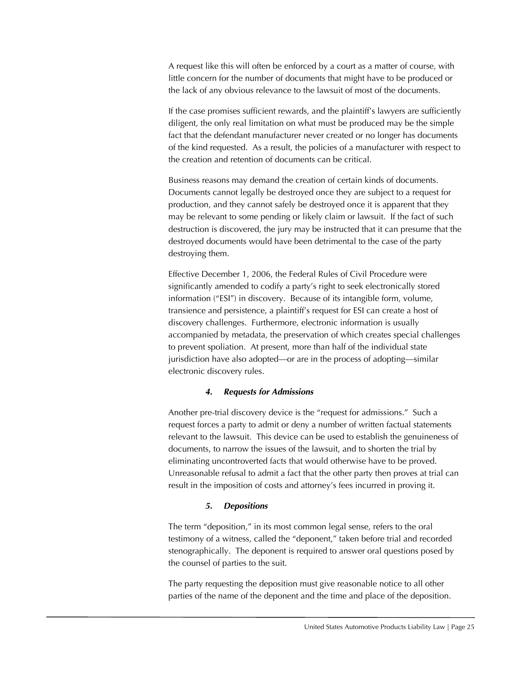A request like this will often be enforced by a court as a matter of course, with little concern for the number of documents that might have to be produced or the lack of any obvious relevance to the lawsuit of most of the documents.

If the case promises sufficient rewards, and the plaintiff's lawyers are sufficiently diligent, the only real limitation on what must be produced may be the simple fact that the defendant manufacturer never created or no longer has documents of the kind requested. As a result, the policies of a manufacturer with respect to the creation and retention of documents can be critical.

Business reasons may demand the creation of certain kinds of documents. Documents cannot legally be destroyed once they are subject to a request for production, and they cannot safely be destroyed once it is apparent that they may be relevant to some pending or likely claim or lawsuit. If the fact of such destruction is discovered, the jury may be instructed that it can presume that the destroyed documents would have been detrimental to the case of the party destroying them.

Effective December 1, 2006, the Federal Rules of Civil Procedure were significantly amended to codify a party's right to seek electronically stored information ("ESI") in discovery. Because of its intangible form, volume, transience and persistence, a plaintiff's request for ESI can create a host of discovery challenges. Furthermore, electronic information is usually accompanied by metadata, the preservation of which creates special challenges to prevent spoliation. At present, more than half of the individual state jurisdiction have also adopted—or are in the process of adopting—similar electronic discovery rules.

#### *4. Requests for Admissions*

Another pre-trial discovery device is the "request for admissions." Such a request forces a party to admit or deny a number of written factual statements relevant to the lawsuit. This device can be used to establish the genuineness of documents, to narrow the issues of the lawsuit, and to shorten the trial by eliminating uncontroverted facts that would otherwise have to be proved. Unreasonable refusal to admit a fact that the other party then proves at trial can result in the imposition of costs and attorney's fees incurred in proving it.

#### *5. Depositions*

The term "deposition," in its most common legal sense, refers to the oral testimony of a witness, called the "deponent," taken before trial and recorded stenographically. The deponent is required to answer oral questions posed by the counsel of parties to the suit.

The party requesting the deposition must give reasonable notice to all other parties of the name of the deponent and the time and place of the deposition.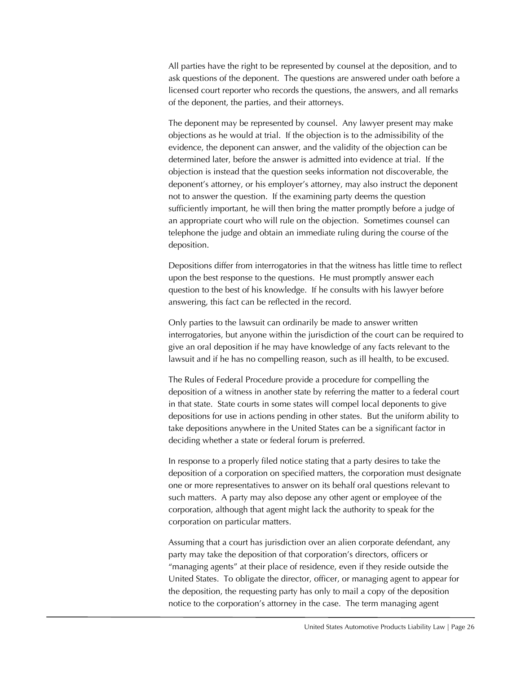All parties have the right to be represented by counsel at the deposition, and to ask questions of the deponent. The questions are answered under oath before a licensed court reporter who records the questions, the answers, and all remarks of the deponent, the parties, and their attorneys.

The deponent may be represented by counsel. Any lawyer present may make objections as he would at trial. If the objection is to the admissibility of the evidence, the deponent can answer, and the validity of the objection can be determined later, before the answer is admitted into evidence at trial. If the objection is instead that the question seeks information not discoverable, the deponent's attorney, or his employer's attorney, may also instruct the deponent not to answer the question. If the examining party deems the question sufficiently important, he will then bring the matter promptly before a judge of an appropriate court who will rule on the objection. Sometimes counsel can telephone the judge and obtain an immediate ruling during the course of the deposition.

Depositions differ from interrogatories in that the witness has little time to reflect upon the best response to the questions. He must promptly answer each question to the best of his knowledge. If he consults with his lawyer before answering, this fact can be reflected in the record.

Only parties to the lawsuit can ordinarily be made to answer written interrogatories, but anyone within the jurisdiction of the court can be required to give an oral deposition if he may have knowledge of any facts relevant to the lawsuit and if he has no compelling reason, such as ill health, to be excused.

The Rules of Federal Procedure provide a procedure for compelling the deposition of a witness in another state by referring the matter to a federal court in that state. State courts in some states will compel local deponents to give depositions for use in actions pending in other states. But the uniform ability to take depositions anywhere in the United States can be a significant factor in deciding whether a state or federal forum is preferred.

In response to a properly filed notice stating that a party desires to take the deposition of a corporation on specified matters, the corporation must designate one or more representatives to answer on its behalf oral questions relevant to such matters. A party may also depose any other agent or employee of the corporation, although that agent might lack the authority to speak for the corporation on particular matters.

Assuming that a court has jurisdiction over an alien corporate defendant, any party may take the deposition of that corporation's directors, officers or "managing agents" at their place of residence, even if they reside outside the United States. To obligate the director, officer, or managing agent to appear for the deposition, the requesting party has only to mail a copy of the deposition notice to the corporation's attorney in the case. The term managing agent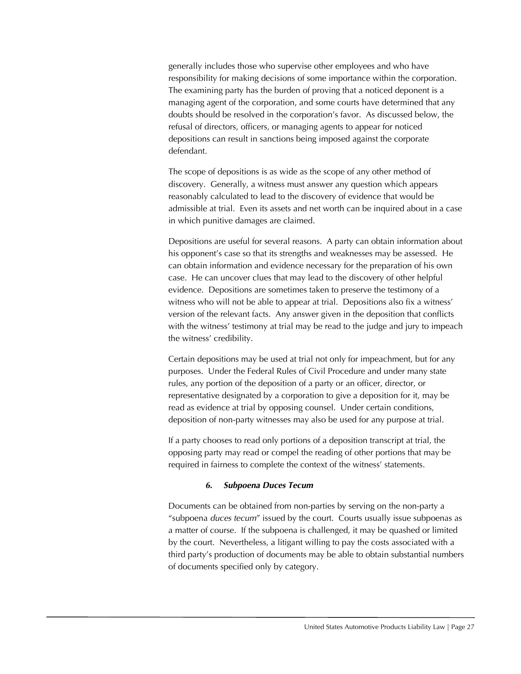generally includes those who supervise other employees and who have responsibility for making decisions of some importance within the corporation. The examining party has the burden of proving that a noticed deponent is a managing agent of the corporation, and some courts have determined that any doubts should be resolved in the corporation's favor. As discussed below, the refusal of directors, officers, or managing agents to appear for noticed depositions can result in sanctions being imposed against the corporate defendant.

The scope of depositions is as wide as the scope of any other method of discovery. Generally, a witness must answer any question which appears reasonably calculated to lead to the discovery of evidence that would be admissible at trial. Even its assets and net worth can be inquired about in a case in which punitive damages are claimed.

Depositions are useful for several reasons. A party can obtain information about his opponent's case so that its strengths and weaknesses may be assessed. He can obtain information and evidence necessary for the preparation of his own case. He can uncover clues that may lead to the discovery of other helpful evidence. Depositions are sometimes taken to preserve the testimony of a witness who will not be able to appear at trial. Depositions also fix a witness' version of the relevant facts. Any answer given in the deposition that conflicts with the witness' testimony at trial may be read to the judge and jury to impeach the witness' credibility.

Certain depositions may be used at trial not only for impeachment, but for any purposes. Under the Federal Rules of Civil Procedure and under many state rules, any portion of the deposition of a party or an officer, director, or representative designated by a corporation to give a deposition for it, may be read as evidence at trial by opposing counsel. Under certain conditions, deposition of non-party witnesses may also be used for any purpose at trial.

If a party chooses to read only portions of a deposition transcript at trial, the opposing party may read or compel the reading of other portions that may be required in fairness to complete the context of the witness' statements.

# *6. Subpoena Duces Tecum*

Documents can be obtained from non-parties by serving on the non-party a "subpoena *duces tecum*" issued by the court. Courts usually issue subpoenas as a matter of course. If the subpoena is challenged, it may be quashed or limited by the court. Nevertheless, a litigant willing to pay the costs associated with a third party's production of documents may be able to obtain substantial numbers of documents specified only by category.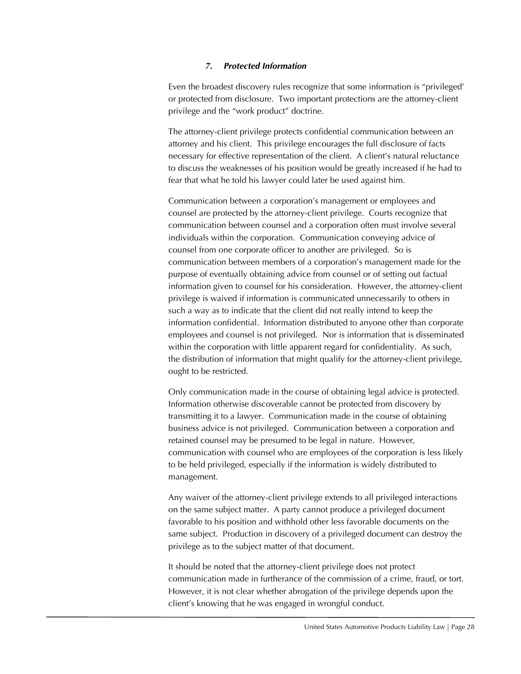#### *7. Protected Information*

Even the broadest discovery rules recognize that some information is "privileged' or protected from disclosure. Two important protections are the attorney-client privilege and the "work product" doctrine.

The attorney-client privilege protects confidential communication between an attorney and his client. This privilege encourages the full disclosure of facts necessary for effective representation of the client. A client's natural reluctance to discuss the weaknesses of his position would be greatly increased if he had to fear that what he told his lawyer could later be used against him.

Communication between a corporation's management or employees and counsel are protected by the attorney-client privilege. Courts recognize that communication between counsel and a corporation often must involve several individuals within the corporation. Communication conveying advice of counsel from one corporate officer to another are privileged. So is communication between members of a corporation's management made for the purpose of eventually obtaining advice from counsel or of setting out factual information given to counsel for his consideration. However, the attorney-client privilege is waived if information is communicated unnecessarily to others in such a way as to indicate that the client did not really intend to keep the information confidential. Information distributed to anyone other than corporate employees and counsel is not privileged. Nor is information that is disseminated within the corporation with little apparent regard for confidentiality. As such, the distribution of information that might qualify for the attorney-client privilege, ought to be restricted.

Only communication made in the course of obtaining legal advice is protected. Information otherwise discoverable cannot be protected from discovery by transmitting it to a lawyer. Communication made in the course of obtaining business advice is not privileged. Communication between a corporation and retained counsel may be presumed to be legal in nature. However, communication with counsel who are employees of the corporation is less likely to be held privileged, especially if the information is widely distributed to management.

Any waiver of the attorney-client privilege extends to all privileged interactions on the same subject matter. A party cannot produce a privileged document favorable to his position and withhold other less favorable documents on the same subject. Production in discovery of a privileged document can destroy the privilege as to the subject matter of that document.

It should be noted that the attorney-client privilege does not protect communication made in furtherance of the commission of a crime, fraud, or tort. However, it is not clear whether abrogation of the privilege depends upon the client's knowing that he was engaged in wrongful conduct.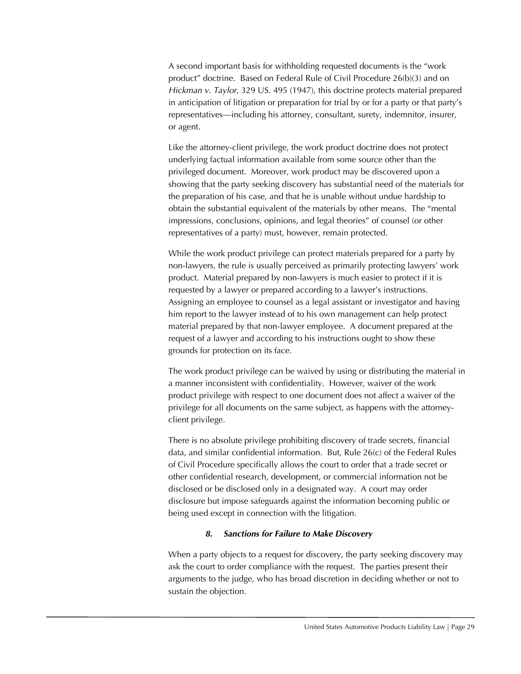A second important basis for withholding requested documents is the "work product" doctrine. Based on Federal Rule of Civil Procedure 26(b)(3) and on *Hickman v. Taylor*, 329 US. 495 (1947), this doctrine protects material prepared in anticipation of litigation or preparation for trial by or for a party or that party's representatives—including his attorney, consultant, surety, indemnitor, insurer, or agent.

Like the attorney-client privilege, the work product doctrine does not protect underlying factual information available from some source other than the privileged document. Moreover, work product may be discovered upon a showing that the party seeking discovery has substantial need of the materials for the preparation of his case, and that he is unable without undue hardship to obtain the substantial equivalent of the materials by other means. The "mental impressions, conclusions, opinions, and legal theories" of counsel (or other representatives of a party) must, however, remain protected.

While the work product privilege can protect materials prepared for a party by non-lawyers, the rule is usually perceived as primarily protecting lawyers' work product. Material prepared by non-lawyers is much easier to protect if it is requested by a lawyer or prepared according to a lawyer's instructions. Assigning an employee to counsel as a legal assistant or investigator and having him report to the lawyer instead of to his own management can help protect material prepared by that non-lawyer employee. A document prepared at the request of a lawyer and according to his instructions ought to show these grounds for protection on its face.

The work product privilege can be waived by using or distributing the material in a manner inconsistent with confidentiality. However, waiver of the work product privilege with respect to one document does not affect a waiver of the privilege for all documents on the same subject, as happens with the attorneyclient privilege.

There is no absolute privilege prohibiting discovery of trade secrets, financial data, and similar confidential information. But, Rule 26(c) of the Federal Rules of Civil Procedure specifically allows the court to order that a trade secret or other confidential research, development, or commercial information not be disclosed or be disclosed only in a designated way. A court may order disclosure but impose safeguards against the information becoming public or being used except in connection with the litigation.

# *8. Sanctions for Failure to Make Discovery*

When a party objects to a request for discovery, the party seeking discovery may ask the court to order compliance with the request. The parties present their arguments to the judge, who has broad discretion in deciding whether or not to sustain the objection.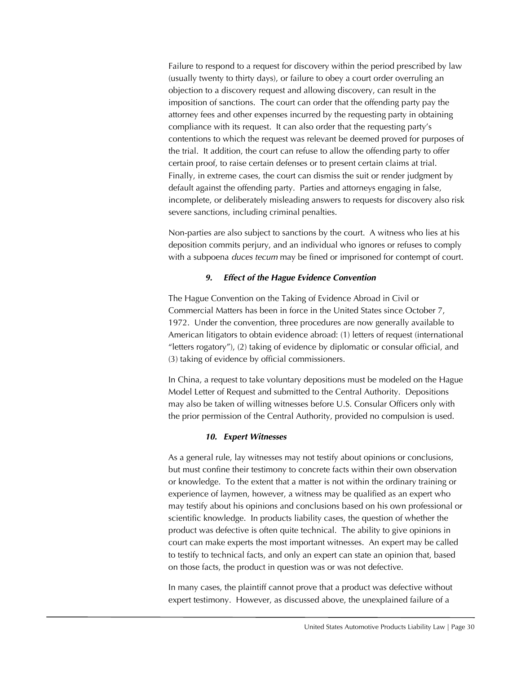Failure to respond to a request for discovery within the period prescribed by law (usually twenty to thirty days), or failure to obey a court order overruling an objection to a discovery request and allowing discovery, can result in the imposition of sanctions. The court can order that the offending party pay the attorney fees and other expenses incurred by the requesting party in obtaining compliance with its request. It can also order that the requesting party's contentions to which the request was relevant be deemed proved for purposes of the trial. It addition, the court can refuse to allow the offending party to offer certain proof, to raise certain defenses or to present certain claims at trial. Finally, in extreme cases, the court can dismiss the suit or render judgment by default against the offending party. Parties and attorneys engaging in false, incomplete, or deliberately misleading answers to requests for discovery also risk severe sanctions, including criminal penalties.

Non-parties are also subject to sanctions by the court. A witness who lies at his deposition commits perjury, and an individual who ignores or refuses to comply with a subpoena *duces tecum* may be fined or imprisoned for contempt of court.

#### *9. Effect of the Hague Evidence Convention*

The Hague Convention on the Taking of Evidence Abroad in Civil or Commercial Matters has been in force in the United States since October 7, 1972. Under the convention, three procedures are now generally available to American litigators to obtain evidence abroad: (1) letters of request (international "letters rogatory"), (2) taking of evidence by diplomatic or consular official, and (3) taking of evidence by official commissioners.

In China, a request to take voluntary depositions must be modeled on the Hague Model Letter of Request and submitted to the Central Authority. Depositions may also be taken of willing witnesses before U.S. Consular Officers only with the prior permission of the Central Authority, provided no compulsion is used.

#### *10. Expert Witnesses*

As a general rule, lay witnesses may not testify about opinions or conclusions, but must confine their testimony to concrete facts within their own observation or knowledge. To the extent that a matter is not within the ordinary training or experience of laymen, however, a witness may be qualified as an expert who may testify about his opinions and conclusions based on his own professional or scientific knowledge. In products liability cases, the question of whether the product was defective is often quite technical. The ability to give opinions in court can make experts the most important witnesses. An expert may be called to testify to technical facts, and only an expert can state an opinion that, based on those facts, the product in question was or was not defective.

In many cases, the plaintiff cannot prove that a product was defective without expert testimony. However, as discussed above, the unexplained failure of a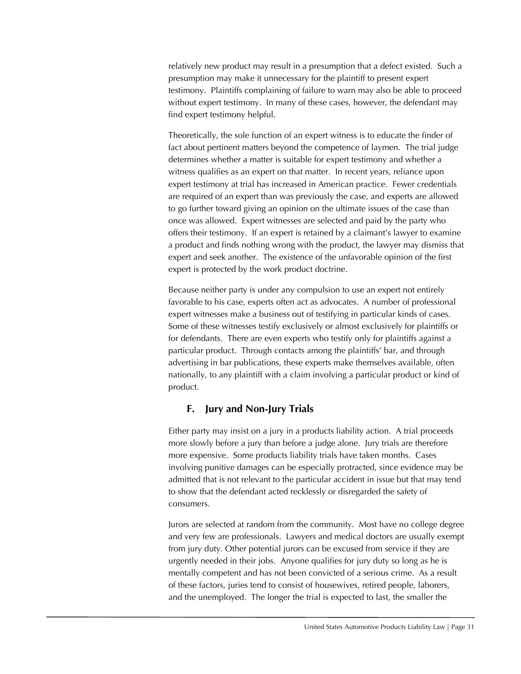relatively new product may result in a presumption that a defect existed. Such a presumption may make it unnecessary for the plaintiff to present expert testimony. Plaintiffs complaining of failure to warn may also be able to proceed without expert testimony. In many of these cases, however, the defendant may find expert testimony helpful.

Theoretically, the sole function of an expert witness is to educate the finder of fact about pertinent matters beyond the competence of laymen. The trial judge determines whether a matter is suitable for expert testimony and whether a witness qualifies as an expert on that matter. In recent years, reliance upon expert testimony at trial has increased in American practice. Fewer credentials are required of an expert than was previously the case, and experts are allowed to go further toward giving an opinion on the ultimate issues of the case than once was allowed. Expert witnesses are selected and paid by the party who offers their testimony. If an expert is retained by a claimant's lawyer to examine a product and finds nothing wrong with the product, the lawyer may dismiss that expert and seek another. The existence of the unfavorable opinion of the first expert is protected by the work product doctrine.

Because neither party is under any compulsion to use an expert not entirely favorable to his case, experts often act as advocates. A number of professional expert witnesses make a business out of testifying in particular kinds of cases. Some of these witnesses testify exclusively or almost exclusively for plaintiffs or for defendants. There are even experts who testify only for plaintiffs against a particular product. Through contacts among the plaintiffs' bar, and through advertising in bar publications, these experts make themselves available, often nationally, to any plaintiff with a claim involving a particular product or kind of product.

# **F. Jury and Non-Jury Trials**

Either party may insist on a jury in a products liability action. A trial proceeds more slowly before a jury than before a judge alone. Jury trials are therefore more expensive. Some products liability trials have taken months. Cases involving punitive damages can be especially protracted, since evidence may be admitted that is not relevant to the particular accident in issue but that may tend to show that the defendant acted recklessly or disregarded the safety of consumers.

Jurors are selected at random from the community. Most have no college degree and very few are professionals. Lawyers and medical doctors are usually exempt from jury duty. Other potential jurors can be excused from service if they are urgently needed in their jobs. Anyone qualifies for jury duty so long as he is mentally competent and has not been convicted of a serious crime. As a result of these factors, juries tend to consist of housewives, retired people, laborers, and the unemployed. The longer the trial is expected to last, the smaller the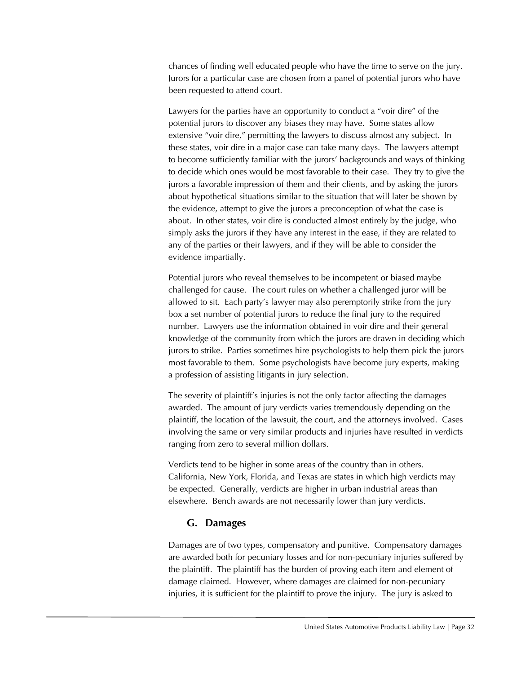chances of finding well educated people who have the time to serve on the jury. Jurors for a particular case are chosen from a panel of potential jurors who have been requested to attend court.

Lawyers for the parties have an opportunity to conduct a "voir dire" of the potential jurors to discover any biases they may have. Some states allow extensive "voir dire," permitting the lawyers to discuss almost any subject. In these states, voir dire in a major case can take many days. The lawyers attempt to become sufficiently familiar with the jurors' backgrounds and ways of thinking to decide which ones would be most favorable to their case. They try to give the jurors a favorable impression of them and their clients, and by asking the jurors about hypothetical situations similar to the situation that will later be shown by the evidence, attempt to give the jurors a preconception of what the case is about. In other states, voir dire is conducted almost entirely by the judge, who simply asks the jurors if they have any interest in the ease, if they are related to any of the parties or their lawyers, and if they will be able to consider the evidence impartially.

Potential jurors who reveal themselves to be incompetent or biased maybe challenged for cause. The court rules on whether a challenged juror will be allowed to sit. Each party's lawyer may also peremptorily strike from the jury box a set number of potential jurors to reduce the final jury to the required number. Lawyers use the information obtained in voir dire and their general knowledge of the community from which the jurors are drawn in deciding which jurors to strike. Parties sometimes hire psychologists to help them pick the jurors most favorable to them. Some psychologists have become jury experts, making a profession of assisting litigants in jury selection.

The severity of plaintiff's injuries is not the only factor affecting the damages awarded. The amount of jury verdicts varies tremendously depending on the plaintiff, the location of the lawsuit, the court, and the attorneys involved. Cases involving the same or very similar products and injuries have resulted in verdicts ranging from zero to several million dollars.

Verdicts tend to be higher in some areas of the country than in others. California, New York, Florida, and Texas are states in which high verdicts may be expected. Generally, verdicts are higher in urban industrial areas than elsewhere. Bench awards are not necessarily lower than jury verdicts.

# **G. Damages**

Damages are of two types, compensatory and punitive. Compensatory damages are awarded both for pecuniary losses and for non-pecuniary injuries suffered by the plaintiff. The plaintiff has the burden of proving each item and element of damage claimed. However, where damages are claimed for non-pecuniary injuries, it is sufficient for the plaintiff to prove the injury. The jury is asked to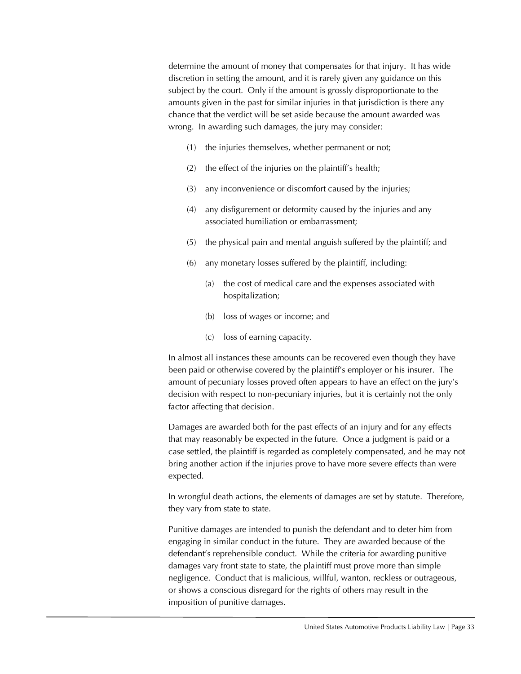determine the amount of money that compensates for that injury. It has wide discretion in setting the amount, and it is rarely given any guidance on this subject by the court. Only if the amount is grossly disproportionate to the amounts given in the past for similar injuries in that jurisdiction is there any chance that the verdict will be set aside because the amount awarded was wrong. In awarding such damages, the jury may consider:

- (1) the injuries themselves, whether permanent or not;
- (2) the effect of the injuries on the plaintiff's health;
- (3) any inconvenience or discomfort caused by the injuries;
- (4) any disfigurement or deformity caused by the injuries and any associated humiliation or embarrassment;
- (5) the physical pain and mental anguish suffered by the plaintiff; and
- (6) any monetary losses suffered by the plaintiff, including:
	- (a) the cost of medical care and the expenses associated with hospitalization;
	- (b) loss of wages or income; and
	- (c) loss of earning capacity.

In almost all instances these amounts can be recovered even though they have been paid or otherwise covered by the plaintiff's employer or his insurer. The amount of pecuniary losses proved often appears to have an effect on the jury's decision with respect to non-pecuniary injuries, but it is certainly not the only factor affecting that decision.

Damages are awarded both for the past effects of an injury and for any effects that may reasonably be expected in the future. Once a judgment is paid or a case settled, the plaintiff is regarded as completely compensated, and he may not bring another action if the injuries prove to have more severe effects than were expected.

In wrongful death actions, the elements of damages are set by statute. Therefore, they vary from state to state.

Punitive damages are intended to punish the defendant and to deter him from engaging in similar conduct in the future. They are awarded because of the defendant's reprehensible conduct. While the criteria for awarding punitive damages vary front state to state, the plaintiff must prove more than simple negligence. Conduct that is malicious, willful, wanton, reckless or outrageous, or shows a conscious disregard for the rights of others may result in the imposition of punitive damages.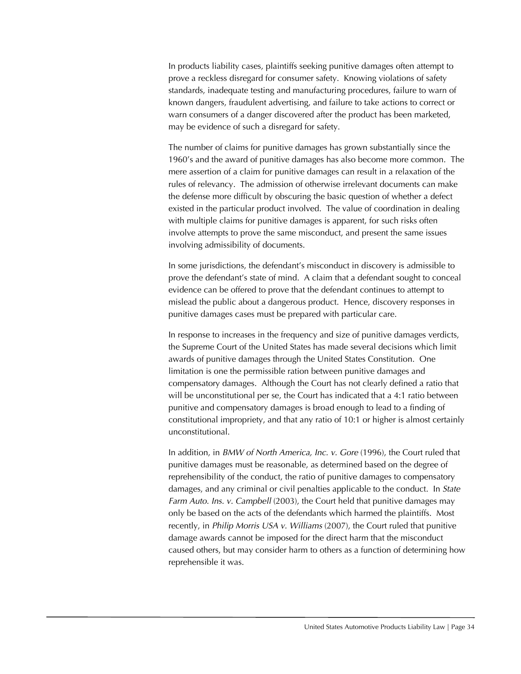In products liability cases, plaintiffs seeking punitive damages often attempt to prove a reckless disregard for consumer safety. Knowing violations of safety standards, inadequate testing and manufacturing procedures, failure to warn of known dangers, fraudulent advertising, and failure to take actions to correct or warn consumers of a danger discovered after the product has been marketed, may be evidence of such a disregard for safety.

The number of claims for punitive damages has grown substantially since the 1960's and the award of punitive damages has also become more common. The mere assertion of a claim for punitive damages can result in a relaxation of the rules of relevancy. The admission of otherwise irrelevant documents can make the defense more difficult by obscuring the basic question of whether a defect existed in the particular product involved. The value of coordination in dealing with multiple claims for punitive damages is apparent, for such risks often involve attempts to prove the same misconduct, and present the same issues involving admissibility of documents.

In some jurisdictions, the defendant's misconduct in discovery is admissible to prove the defendant's state of mind. A claim that a defendant sought to conceal evidence can be offered to prove that the defendant continues to attempt to mislead the public about a dangerous product. Hence, discovery responses in punitive damages cases must be prepared with particular care.

In response to increases in the frequency and size of punitive damages verdicts, the Supreme Court of the United States has made several decisions which limit awards of punitive damages through the United States Constitution. One limitation is one the permissible ration between punitive damages and compensatory damages. Although the Court has not clearly defined a ratio that will be unconstitutional per se, the Court has indicated that a 4:1 ratio between punitive and compensatory damages is broad enough to lead to a finding of constitutional impropriety, and that any ratio of 10:1 or higher is almost certainly unconstitutional.

In addition, in *BMW of North America, Inc. v. Gore* (1996), the Court ruled that punitive damages must be reasonable, as determined based on the degree of reprehensibility of the conduct, the ratio of punitive damages to compensatory damages, and any criminal or civil penalties applicable to the conduct. In *State Farm Auto. Ins. v. Campbell* (2003), the Court held that punitive damages may only be based on the acts of the defendants which harmed the plaintiffs. Most recently, in *Philip Morris USA v. Williams* (2007), the Court ruled that punitive damage awards cannot be imposed for the direct harm that the misconduct caused others, but may consider harm to others as a function of determining how reprehensible it was.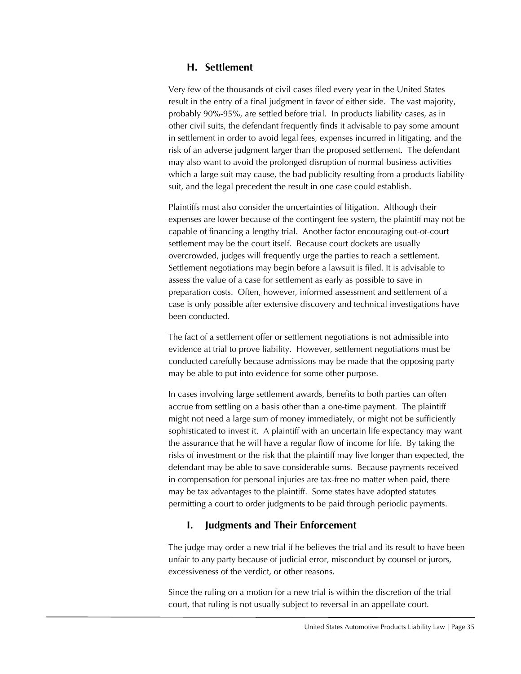# **H. Settlement**

Very few of the thousands of civil cases filed every year in the United States result in the entry of a final judgment in favor of either side. The vast majority, probably 90%-95%, are settled before trial. In products liability cases, as in other civil suits, the defendant frequently finds it advisable to pay some amount in settlement in order to avoid legal fees, expenses incurred in litigating, and the risk of an adverse judgment larger than the proposed settlement. The defendant may also want to avoid the prolonged disruption of normal business activities which a large suit may cause, the bad publicity resulting from a products liability suit, and the legal precedent the result in one case could establish.

Plaintiffs must also consider the uncertainties of litigation. Although their expenses are lower because of the contingent fee system, the plaintiff may not be capable of financing a lengthy trial. Another factor encouraging out-of-court settlement may be the court itself. Because court dockets are usually overcrowded, judges will frequently urge the parties to reach a settlement. Settlement negotiations may begin before a lawsuit is filed. It is advisable to assess the value of a case for settlement as early as possible to save in preparation costs. Often, however, informed assessment and settlement of a case is only possible after extensive discovery and technical investigations have been conducted.

The fact of a settlement offer or settlement negotiations is not admissible into evidence at trial to prove liability. However, settlement negotiations must be conducted carefully because admissions may be made that the opposing party may be able to put into evidence for some other purpose.

In cases involving large settlement awards, benefits to both parties can often accrue from settling on a basis other than a one-time payment. The plaintiff might not need a large sum of money immediately, or might not be sufficiently sophisticated to invest it. A plaintiff with an uncertain life expectancy may want the assurance that he will have a regular flow of income for life. By taking the risks of investment or the risk that the plaintiff may live longer than expected, the defendant may be able to save considerable sums. Because payments received in compensation for personal injuries are tax-free no matter when paid, there may be tax advantages to the plaintiff. Some states have adopted statutes permitting a court to order judgments to be paid through periodic payments.

# **I. Judgments and Their Enforcement**

The judge may order a new trial if he believes the trial and its result to have been unfair to any party because of judicial error, misconduct by counsel or jurors, excessiveness of the verdict, or other reasons.

Since the ruling on a motion for a new trial is within the discretion of the trial court, that ruling is not usually subject to reversal in an appellate court.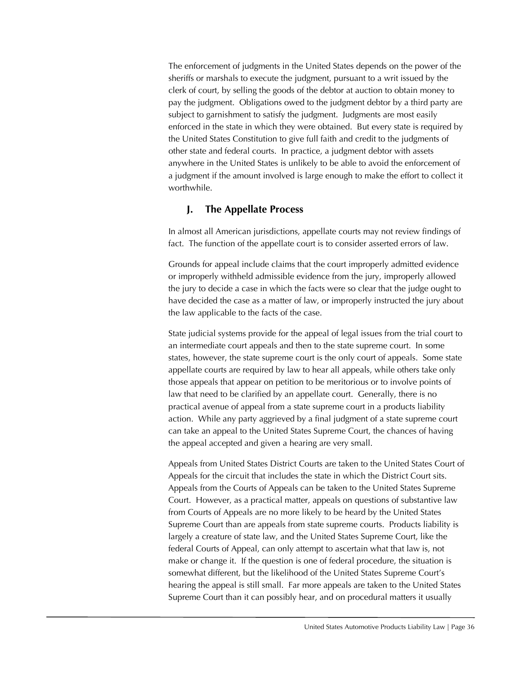The enforcement of judgments in the United States depends on the power of the sheriffs or marshals to execute the judgment, pursuant to a writ issued by the clerk of court, by selling the goods of the debtor at auction to obtain money to pay the judgment. Obligations owed to the judgment debtor by a third party are subject to garnishment to satisfy the judgment. Judgments are most easily enforced in the state in which they were obtained. But every state is required by the United States Constitution to give full faith and credit to the judgments of other state and federal courts. In practice, a judgment debtor with assets anywhere in the United States is unlikely to be able to avoid the enforcement of a judgment if the amount involved is large enough to make the effort to collect it worthwhile.

# **J. The Appellate Process**

In almost all American jurisdictions, appellate courts may not review findings of fact. The function of the appellate court is to consider asserted errors of law.

Grounds for appeal include claims that the court improperly admitted evidence or improperly withheld admissible evidence from the jury, improperly allowed the jury to decide a case in which the facts were so clear that the judge ought to have decided the case as a matter of law, or improperly instructed the jury about the law applicable to the facts of the case.

State judicial systems provide for the appeal of legal issues from the trial court to an intermediate court appeals and then to the state supreme court. In some states, however, the state supreme court is the only court of appeals. Some state appellate courts are required by law to hear all appeals, while others take only those appeals that appear on petition to be meritorious or to involve points of law that need to be clarified by an appellate court. Generally, there is no practical avenue of appeal from a state supreme court in a products liability action. While any party aggrieved by a final judgment of a state supreme court can take an appeal to the United States Supreme Court, the chances of having the appeal accepted and given a hearing are very small.

Appeals from United States District Courts are taken to the United States Court of Appeals for the circuit that includes the state in which the District Court sits. Appeals from the Courts of Appeals can be taken to the United States Supreme Court. However, as a practical matter, appeals on questions of substantive law from Courts of Appeals are no more likely to be heard by the United States Supreme Court than are appeals from state supreme courts. Products liability is largely a creature of state law, and the United States Supreme Court, like the federal Courts of Appeal, can only attempt to ascertain what that law is, not make or change it. If the question is one of federal procedure, the situation is somewhat different, but the likelihood of the United States Supreme Court's hearing the appeal is still small. Far more appeals are taken to the United States Supreme Court than it can possibly hear, and on procedural matters it usually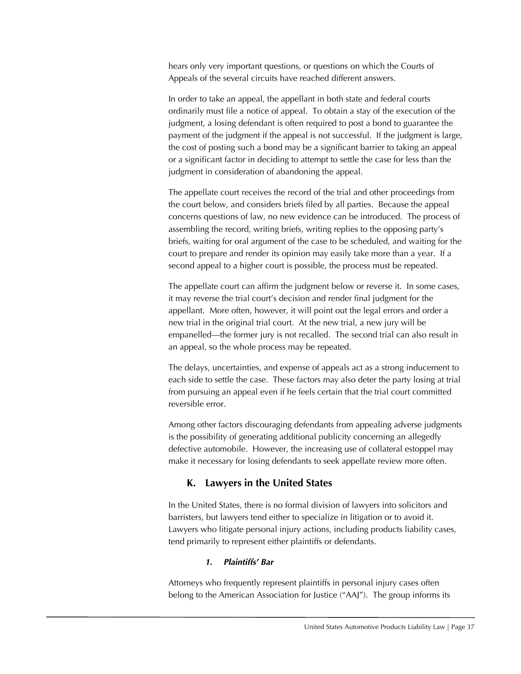hears only very important questions, or questions on which the Courts of Appeals of the several circuits have reached different answers.

In order to take an appeal, the appellant in both state and federal courts ordinarily must file a notice of appeal. To obtain a stay of the execution of the judgment, a losing defendant is often required to post a bond to guarantee the payment of the judgment if the appeal is not successful. If the judgment is large, the cost of posting such a bond may be a significant barrier to taking an appeal or a significant factor in deciding to attempt to settle the case for less than the judgment in consideration of abandoning the appeal.

The appellate court receives the record of the trial and other proceedings from the court below, and considers briefs filed by all parties. Because the appeal concerns questions of law, no new evidence can be introduced. The process of assembling the record, writing briefs, writing replies to the opposing party's briefs, waiting for oral argument of the case to be scheduled, and waiting for the court to prepare and render its opinion may easily take more than a year. If a second appeal to a higher court is possible, the process must be repeated.

The appellate court can affirm the judgment below or reverse it. In some cases, it may reverse the trial court's decision and render final judgment for the appellant. More often, however, it will point out the legal errors and order a new trial in the original trial court. At the new trial, a new jury will be empanelled—the former jury is not recalled. The second trial can also result in an appeal, so the whole process may be repeated.

The delays, uncertainties, and expense of appeals act as a strong inducement to each side to settle the case. These factors may also deter the party losing at trial from pursuing an appeal even if he feels certain that the trial court committed reversible error.

Among other factors discouraging defendants from appealing adverse judgments is the possibility of generating additional publicity concerning an allegedly defective automobile. However, the increasing use of collateral estoppel may make it necessary for losing defendants to seek appellate review more often.

# **K. Lawyers in the United States**

In the United States, there is no formal division of lawyers into solicitors and barristers, but lawyers tend either to specialize in litigation or to avoid it. Lawyers who litigate personal injury actions, including products liability cases, tend primarily to represent either plaintiffs or defendants.

# *1. Plaintiffs' Bar*

Attorneys who frequently represent plaintiffs in personal injury cases often belong to the American Association for Justice ("AAJ"). The group informs its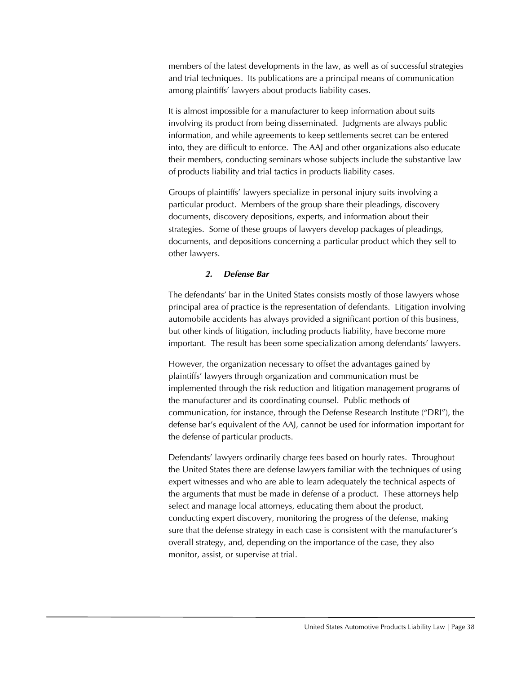members of the latest developments in the law, as well as of successful strategies and trial techniques. Its publications are a principal means of communication among plaintiffs' lawyers about products liability cases.

It is almost impossible for a manufacturer to keep information about suits involving its product from being disseminated. Judgments are always public information, and while agreements to keep settlements secret can be entered into, they are difficult to enforce. The AAJ and other organizations also educate their members, conducting seminars whose subjects include the substantive law of products liability and trial tactics in products liability cases.

Groups of plaintiffs' lawyers specialize in personal injury suits involving a particular product. Members of the group share their pleadings, discovery documents, discovery depositions, experts, and information about their strategies. Some of these groups of lawyers develop packages of pleadings, documents, and depositions concerning a particular product which they sell to other lawyers.

#### *2. Defense Bar*

The defendants' bar in the United States consists mostly of those lawyers whose principal area of practice is the representation of defendants. Litigation involving automobile accidents has always provided a significant portion of this business, but other kinds of litigation, including products liability, have become more important. The result has been some specialization among defendants' lawyers.

However, the organization necessary to offset the advantages gained by plaintiffs' lawyers through organization and communication must be implemented through the risk reduction and litigation management programs of the manufacturer and its coordinating counsel. Public methods of communication, for instance, through the Defense Research Institute ("DRI"), the defense bar's equivalent of the AAJ, cannot be used for information important for the defense of particular products.

Defendants' lawyers ordinarily charge fees based on hourly rates. Throughout the United States there are defense lawyers familiar with the techniques of using expert witnesses and who are able to learn adequately the technical aspects of the arguments that must be made in defense of a product. These attorneys help select and manage local attorneys, educating them about the product, conducting expert discovery, monitoring the progress of the defense, making sure that the defense strategy in each case is consistent with the manufacturer's overall strategy, and, depending on the importance of the case, they also monitor, assist, or supervise at trial.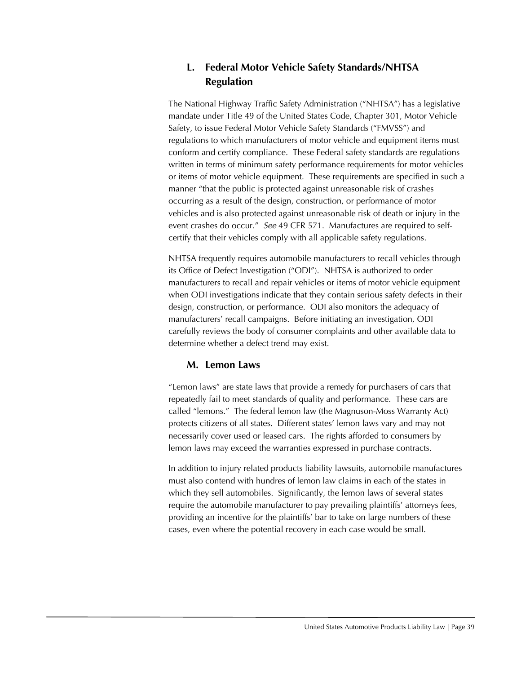# **L. Federal Motor Vehicle Safety Standards/NHTSA Regulation**

The National Highway Traffic Safety Administration ("NHTSA") has a legislative mandate under Title 49 of the United States Code, Chapter 301, Motor Vehicle Safety, to issue Federal Motor Vehicle Safety Standards ("FMVSS") and regulations to which manufacturers of motor vehicle and equipment items must conform and certify compliance. These Federal safety standards are regulations written in terms of minimum safety performance requirements for motor vehicles or items of motor vehicle equipment. These requirements are specified in such a manner "that the public is protected against unreasonable risk of crashes occurring as a result of the design, construction, or performance of motor vehicles and is also protected against unreasonable risk of death or injury in the event crashes do occur." *See* 49 CFR 571. Manufactures are required to selfcertify that their vehicles comply with all applicable safety regulations.

NHTSA frequently requires automobile manufacturers to recall vehicles through its Office of Defect Investigation ("ODI"). NHTSA is authorized to order manufacturers to recall and repair vehicles or items of motor vehicle equipment when ODI investigations indicate that they contain serious safety defects in their design, construction, or performance. ODI also monitors the adequacy of manufacturers' recall campaigns. Before initiating an investigation, ODI carefully reviews the body of consumer complaints and other available data to determine whether a defect trend may exist.

# **M. Lemon Laws**

"Lemon laws" are state laws that provide a remedy for purchasers of cars that repeatedly fail to meet standards of quality and performance. These cars are called "lemons." The federal lemon law (the Magnuson-Moss Warranty Act) protects citizens of all states. Different states' lemon laws vary and may not necessarily cover used or leased cars. The rights afforded to consumers by lemon laws may exceed the warranties expressed in purchase contracts.

In addition to injury related products liability lawsuits, automobile manufactures must also contend with hundres of lemon law claims in each of the states in which they sell automobiles. Significantly, the lemon laws of several states require the automobile manufacturer to pay prevailing plaintiffs' attorneys fees, providing an incentive for the plaintiffs' bar to take on large numbers of these cases, even where the potential recovery in each case would be small.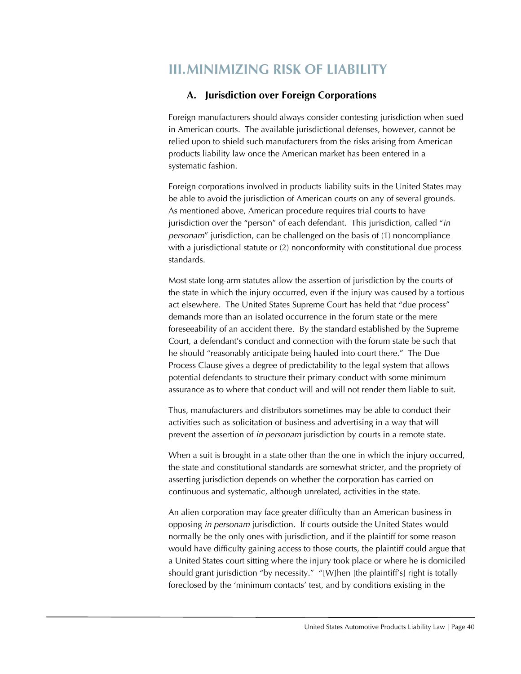# **III.MINIMIZING RISK OF LIABILITY**

# **A. Jurisdiction over Foreign Corporations**

Foreign manufacturers should always consider contesting jurisdiction when sued in American courts. The available jurisdictional defenses, however, cannot be relied upon to shield such manufacturers from the risks arising from American products liability law once the American market has been entered in a systematic fashion.

Foreign corporations involved in products liability suits in the United States may be able to avoid the jurisdiction of American courts on any of several grounds. As mentioned above, American procedure requires trial courts to have jurisdiction over the "person" of each defendant. This jurisdiction, called "*in personam*" jurisdiction, can be challenged on the basis of (1) noncompliance with a jurisdictional statute or (2) nonconformity with constitutional due process standards.

Most state long-arm statutes allow the assertion of jurisdiction by the courts of the state in which the injury occurred, even if the injury was caused by a tortious act elsewhere. The United States Supreme Court has held that "due process" demands more than an isolated occurrence in the forum state or the mere foreseeability of an accident there. By the standard established by the Supreme Court, a defendant's conduct and connection with the forum state be such that he should "reasonably anticipate being hauled into court there." The Due Process Clause gives a degree of predictability to the legal system that allows potential defendants to structure their primary conduct with some minimum assurance as to where that conduct will and will not render them liable to suit.

Thus, manufacturers and distributors sometimes may be able to conduct their activities such as solicitation of business and advertising in a way that will prevent the assertion of *in personam* jurisdiction by courts in a remote state.

When a suit is brought in a state other than the one in which the injury occurred, the state and constitutional standards are somewhat stricter, and the propriety of asserting jurisdiction depends on whether the corporation has carried on continuous and systematic, although unrelated, activities in the state.

An alien corporation may face greater difficulty than an American business in opposing *in personam* jurisdiction. If courts outside the United States would normally be the only ones with jurisdiction, and if the plaintiff for some reason would have difficulty gaining access to those courts, the plaintiff could argue that a United States court sitting where the injury took place or where he is domiciled should grant jurisdiction "by necessity." "[W]hen [the plaintiff's] right is totally foreclosed by the 'minimum contacts' test, and by conditions existing in the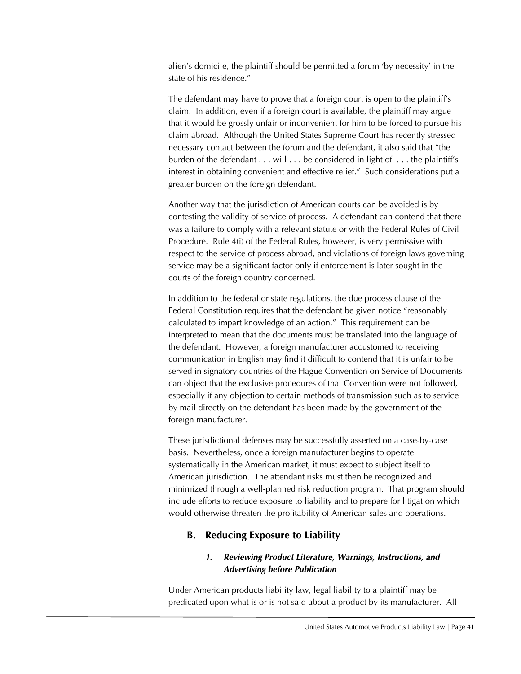alien's domicile, the plaintiff should be permitted a forum 'by necessity' in the state of his residence."

The defendant may have to prove that a foreign court is open to the plaintiff's claim. In addition, even if a foreign court is available, the plaintiff may argue that it would be grossly unfair or inconvenient for him to be forced to pursue his claim abroad. Although the United States Supreme Court has recently stressed necessary contact between the forum and the defendant, it also said that "the burden of the defendant . . . will . . . be considered in light of . . . the plaintiff's interest in obtaining convenient and effective relief." Such considerations put a greater burden on the foreign defendant.

Another way that the jurisdiction of American courts can be avoided is by contesting the validity of service of process. A defendant can contend that there was a failure to comply with a relevant statute or with the Federal Rules of Civil Procedure. Rule 4(i) of the Federal Rules, however, is very permissive with respect to the service of process abroad, and violations of foreign laws governing service may be a significant factor only if enforcement is later sought in the courts of the foreign country concerned.

In addition to the federal or state regulations, the due process clause of the Federal Constitution requires that the defendant be given notice "reasonably calculated to impart knowledge of an action." This requirement can be interpreted to mean that the documents must be translated into the language of the defendant. However, a foreign manufacturer accustomed to receiving communication in English may find it difficult to contend that it is unfair to be served in signatory countries of the Hague Convention on Service of Documents can object that the exclusive procedures of that Convention were not followed, especially if any objection to certain methods of transmission such as to service by mail directly on the defendant has been made by the government of the foreign manufacturer.

These jurisdictional defenses may be successfully asserted on a case-by-case basis. Nevertheless, once a foreign manufacturer begins to operate systematically in the American market, it must expect to subject itself to American jurisdiction. The attendant risks must then be recognized and minimized through a well-planned risk reduction program. That program should include efforts to reduce exposure to liability and to prepare for litigation which would otherwise threaten the profitability of American sales and operations.

# **B. Reducing Exposure to Liability**

# *1. Reviewing Product Literature, Warnings, Instructions, and Advertising before Publication*

Under American products liability law, legal liability to a plaintiff may be predicated upon what is or is not said about a product by its manufacturer. All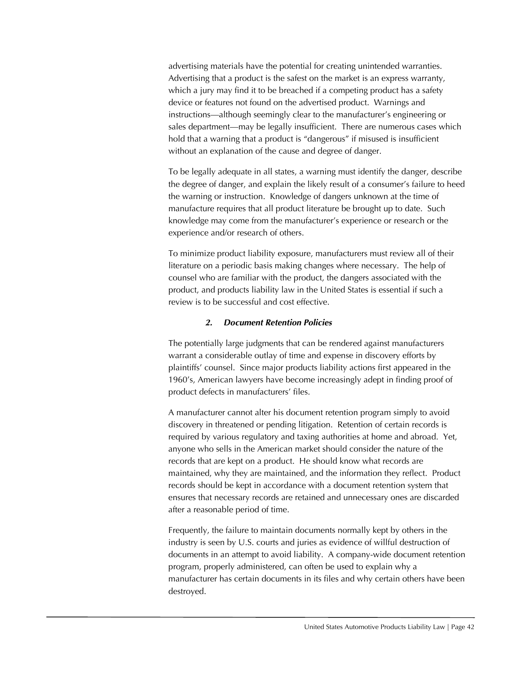advertising materials have the potential for creating unintended warranties. Advertising that a product is the safest on the market is an express warranty, which a jury may find it to be breached if a competing product has a safety device or features not found on the advertised product. Warnings and instructions—although seemingly clear to the manufacturer's engineering or sales department—may be legally insufficient. There are numerous cases which hold that a warning that a product is "dangerous" if misused is insufficient without an explanation of the cause and degree of danger.

To be legally adequate in all states, a warning must identify the danger, describe the degree of danger, and explain the likely result of a consumer's failure to heed the warning or instruction. Knowledge of dangers unknown at the time of manufacture requires that all product literature be brought up to date. Such knowledge may come from the manufacturer's experience or research or the experience and/or research of others.

To minimize product liability exposure, manufacturers must review all of their literature on a periodic basis making changes where necessary. The help of counsel who are familiar with the product, the dangers associated with the product, and products liability law in the United States is essential if such a review is to be successful and cost effective.

# *2. Document Retention Policies*

The potentially large judgments that can be rendered against manufacturers warrant a considerable outlay of time and expense in discovery efforts by plaintiffs' counsel. Since major products liability actions first appeared in the 1960's, American lawyers have become increasingly adept in finding proof of product defects in manufacturers' files.

A manufacturer cannot alter his document retention program simply to avoid discovery in threatened or pending litigation. Retention of certain records is required by various regulatory and taxing authorities at home and abroad. Yet, anyone who sells in the American market should consider the nature of the records that are kept on a product. He should know what records are maintained, why they are maintained, and the information they reflect. Product records should be kept in accordance with a document retention system that ensures that necessary records are retained and unnecessary ones are discarded after a reasonable period of time.

Frequently, the failure to maintain documents normally kept by others in the industry is seen by U.S. courts and juries as evidence of willful destruction of documents in an attempt to avoid liability. A company-wide document retention program, properly administered, can often be used to explain why a manufacturer has certain documents in its files and why certain others have been destroyed.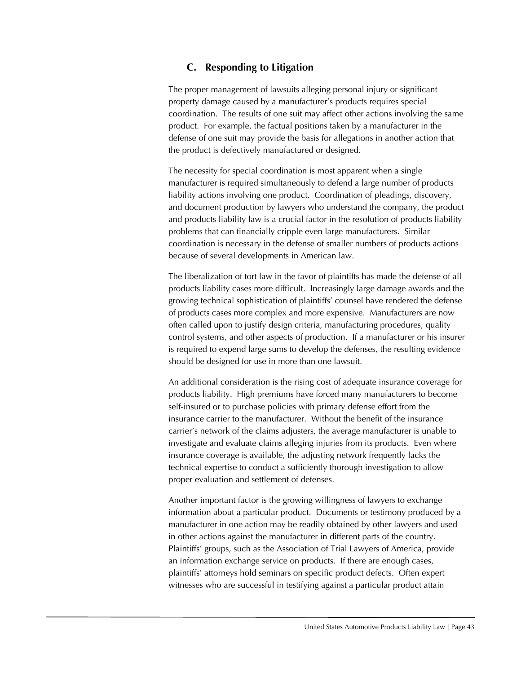# **C. Responding to Litigation**

The proper management of lawsuits alleging personal injury or significant property damage caused by a manufacturer's products requires special coordination. The results of one suit may affect other actions involving the same product. For example, the factual positions taken by a manufacturer in the defense of one suit may provide the basis for allegations in another action that the product is defectively manufactured or designed.

The necessity for special coordination is most apparent when a single manufacturer is required simultaneously to defend a large number of products liability actions involving one product. Coordination of pleadings, discovery, and document production by lawyers who understand the company, the product and products liability law is a crucial factor in the resolution of products liability problems that can financially cripple even large manufacturers. Similar coordination is necessary in the defense of smaller numbers of products actions because of several developments in American law.

The liberalization of tort law in the favor of plaintiffs has made the defense of all products liability cases more difficult. Increasingly large damage awards and the growing technical sophistication of plaintiffs' counsel have rendered the defense of products cases more complex and more expensive. Manufacturers are now often called upon to justify design criteria, manufacturing procedures, quality control systems, and other aspects of production. If a manufacturer or his insurer is required to expend large sums to develop the defenses, the resulting evidence should be designed for use in more than one lawsuit.

An additional consideration is the rising cost of adequate insurance coverage for products liability. High premiums have forced many manufacturers to become self-insured or to purchase policies with primary defense effort from the insurance carrier to the manufacturer. Without the benefit of the insurance carrier's network of the claims adjusters, the average manufacturer is unable to investigate and evaluate claims alleging injuries from its products. Even where insurance coverage is available, the adjusting network frequently lacks the technical expertise to conduct a sufficiently thorough investigation to allow proper evaluation and settlement of defenses.

Another important factor is the growing willingness of lawyers to exchange information about a particular product. Documents or testimony produced by a manufacturer in one action may be readily obtained by other lawyers and used in other actions against the manufacturer in different parts of the country. Plaintiffs' groups, such as the Association of Trial Lawyers of America, provide an information exchange service on products. If there are enough cases, plaintiffs' attorneys hold seminars on specific product defects. Often expert witnesses who are successful in testifying against a particular product attain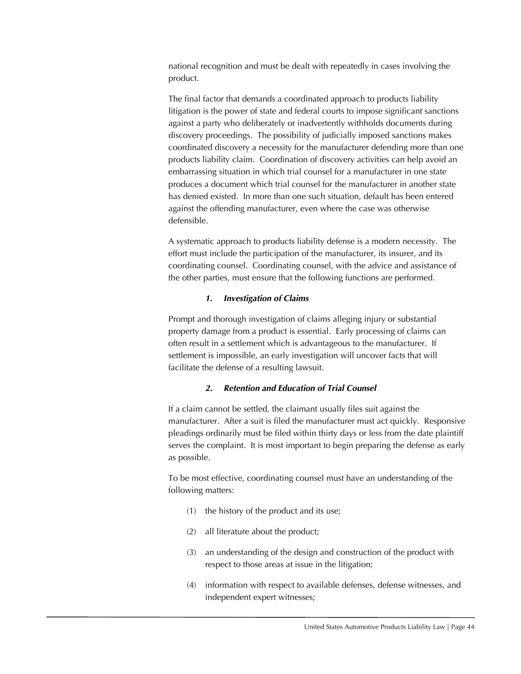national recognition and must be dealt with repeatedly in cases involving the product.

The final factor that demands a coordinated approach to products liability litigation is the power of state and federal courts to impose significant sanctions against a party who deliberately or inadvertently withholds documents during discovery proceedings. The possibility of judicially imposed sanctions makes coordinated discovery a necessity for the manufacturer defending more than one products liability claim. Coordination of discovery activities can help avoid an embarrassing situation in which trial counsel for a manufacturer in one state produces a document which trial counsel for the manufacturer in another state has denied existed. In more than one such situation, default has been entered against the offending manufacturer, even where the case was otherwise defensible.

A systematic approach to products liability defense is a modern necessity. The effort must include the participation of the manufacturer, its insurer, and its coordinating counsel. Coordinating counsel, with the advice and assistance of the other parties, must ensure that the following functions are performed.

#### *1. Investigation of Claims*

Prompt and thorough investigation of claims alleging injury or substantial property damage from a product is essential. Early processing of claims can often result in a settlement which is advantageous to the manufacturer. If settlement is impossible, an early investigation will uncover facts that will facilitate the defense of a resulting lawsuit.

# *2. Retention and Education of Trial Counsel*

If a claim cannot be settled, the claimant usually files suit against the manufacturer. After a suit is filed the manufacturer must act quickly. Responsive pleadings ordinarily must be filed within thirty days or less from the date plaintiff serves the complaint. It is most important to begin preparing the defense as early as possible.

To be most effective, coordinating counsel must have an understanding of the following matters:

- (1) the history of the product and its use;
- (2) all literature about the product;
- (3) an understanding of the design and construction of the product with respect to those areas at issue in the litigation;
- (4) information with respect to available defenses, defense witnesses, and independent expert witnesses;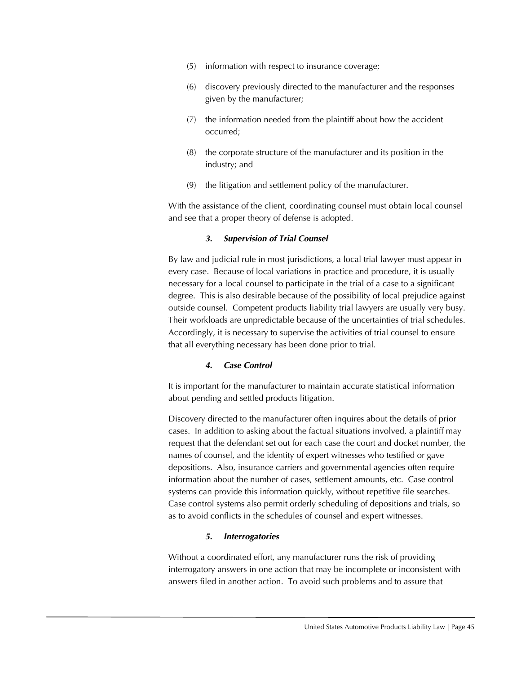- (5) information with respect to insurance coverage;
- (6) discovery previously directed to the manufacturer and the responses given by the manufacturer;
- (7) the information needed from the plaintiff about how the accident occurred;
- (8) the corporate structure of the manufacturer and its position in the industry; and
- (9) the litigation and settlement policy of the manufacturer.

With the assistance of the client, coordinating counsel must obtain local counsel and see that a proper theory of defense is adopted.

# *3. Supervision of Trial Counsel*

By law and judicial rule in most jurisdictions, a local trial lawyer must appear in every case. Because of local variations in practice and procedure, it is usually necessary for a local counsel to participate in the trial of a case to a significant degree. This is also desirable because of the possibility of local prejudice against outside counsel. Competent products liability trial lawyers are usually very busy. Their workloads are unpredictable because of the uncertainties of trial schedules. Accordingly, it is necessary to supervise the activities of trial counsel to ensure that all everything necessary has been done prior to trial.

# *4. Case Control*

It is important for the manufacturer to maintain accurate statistical information about pending and settled products litigation.

Discovery directed to the manufacturer often inquires about the details of prior cases. In addition to asking about the factual situations involved, a plaintiff may request that the defendant set out for each case the court and docket number, the names of counsel, and the identity of expert witnesses who testified or gave depositions. Also, insurance carriers and governmental agencies often require information about the number of cases, settlement amounts, etc. Case control systems can provide this information quickly, without repetitive file searches. Case control systems also permit orderly scheduling of depositions and trials, so as to avoid conflicts in the schedules of counsel and expert witnesses.

# *5. Interrogatories*

Without a coordinated effort, any manufacturer runs the risk of providing interrogatory answers in one action that may be incomplete or inconsistent with answers filed in another action. To avoid such problems and to assure that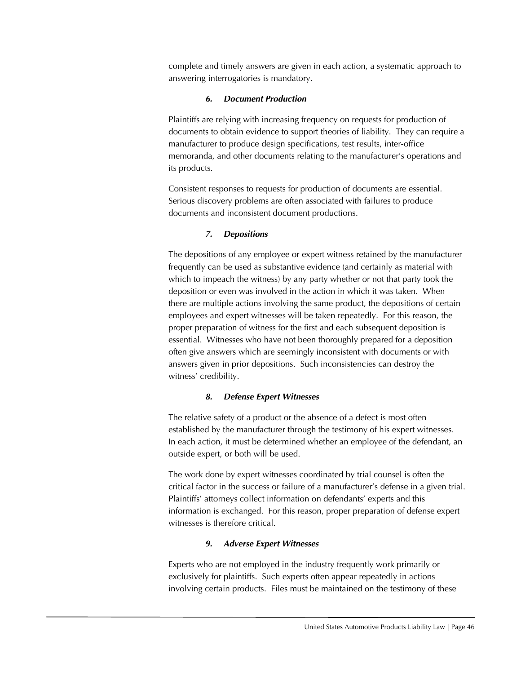complete and timely answers are given in each action, a systematic approach to answering interrogatories is mandatory.

#### *6. Document Production*

Plaintiffs are relying with increasing frequency on requests for production of documents to obtain evidence to support theories of liability. They can require a manufacturer to produce design specifications, test results, inter-office memoranda, and other documents relating to the manufacturer's operations and its products.

Consistent responses to requests for production of documents are essential. Serious discovery problems are often associated with failures to produce documents and inconsistent document productions.

# *7. Depositions*

The depositions of any employee or expert witness retained by the manufacturer frequently can be used as substantive evidence (and certainly as material with which to impeach the witness) by any party whether or not that party took the deposition or even was involved in the action in which it was taken. When there are multiple actions involving the same product, the depositions of certain employees and expert witnesses will be taken repeatedly. For this reason, the proper preparation of witness for the first and each subsequent deposition is essential. Witnesses who have not been thoroughly prepared for a deposition often give answers which are seemingly inconsistent with documents or with answers given in prior depositions. Such inconsistencies can destroy the witness' credibility.

# *8. Defense Expert Witnesses*

The relative safety of a product or the absence of a defect is most often established by the manufacturer through the testimony of his expert witnesses. In each action, it must be determined whether an employee of the defendant, an outside expert, or both will be used.

The work done by expert witnesses coordinated by trial counsel is often the critical factor in the success or failure of a manufacturer's defense in a given trial. Plaintiffs' attorneys collect information on defendants' experts and this information is exchanged. For this reason, proper preparation of defense expert witnesses is therefore critical.

# *9. Adverse Expert Witnesses*

Experts who are not employed in the industry frequently work primarily or exclusively for plaintiffs. Such experts often appear repeatedly in actions involving certain products. Files must be maintained on the testimony of these